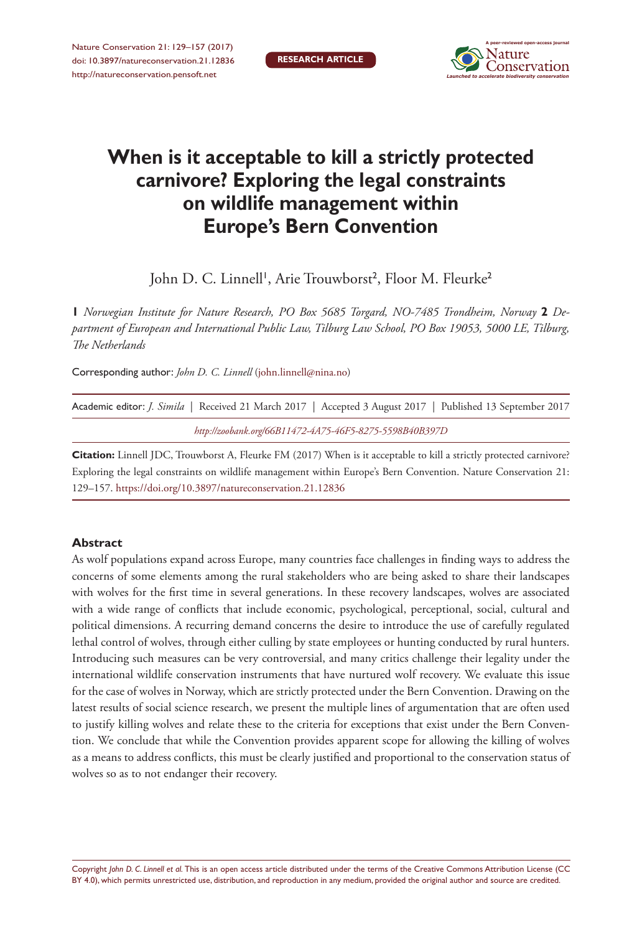

# **When is it acceptable to kill a strictly protected carnivore? Exploring the legal constraints on wildlife management within Europe's Bern Convention**

John D. C. Linnell', Arie Trouwborst<sup>2</sup>, Floor M. Fleurke<sup>2</sup>

**1** *Norwegian Institute for Nature Research, PO Box 5685 Torgard, NO-7485 Trondheim, Norway* **2** *Department of European and International Public Law, Tilburg Law School, PO Box 19053, 5000 LE, Tilburg, The Netherlands*

Corresponding author: *John D. C. Linnell* [\(john.linnell@nina.no](mailto:john.linnell@nina.no))

|                                                         | Academic editor: <i>J. Simila</i>   Received 21 March 2017   Accepted 3 August 2017   Published 13 September 2017 |
|---------------------------------------------------------|-------------------------------------------------------------------------------------------------------------------|
| http://zoobank.org/66B11472-4A75-46F5-8275-5598B40B397D |                                                                                                                   |

**Citation:** Linnell JDC, Trouwborst A, Fleurke FM (2017) When is it acceptable to kill a strictly protected carnivore? Exploring the legal constraints on wildlife management within Europe's Bern Convention. Nature Conservation 21: 129–157.<https://doi.org/10.3897/natureconservation.21.12836>

## **Abstract**

As wolf populations expand across Europe, many countries face challenges in finding ways to address the concerns of some elements among the rural stakeholders who are being asked to share their landscapes with wolves for the first time in several generations. In these recovery landscapes, wolves are associated with a wide range of conflicts that include economic, psychological, perceptional, social, cultural and political dimensions. A recurring demand concerns the desire to introduce the use of carefully regulated lethal control of wolves, through either culling by state employees or hunting conducted by rural hunters. Introducing such measures can be very controversial, and many critics challenge their legality under the international wildlife conservation instruments that have nurtured wolf recovery. We evaluate this issue for the case of wolves in Norway, which are strictly protected under the Bern Convention. Drawing on the latest results of social science research, we present the multiple lines of argumentation that are often used to justify killing wolves and relate these to the criteria for exceptions that exist under the Bern Convention. We conclude that while the Convention provides apparent scope for allowing the killing of wolves as a means to address conflicts, this must be clearly justified and proportional to the conservation status of wolves so as to not endanger their recovery.

Copyright *John D. C. Linnell et al.* This is an open access article distributed under the terms of the [Creative Commons Attribution License \(CC](http://creativecommons.org/licenses/by/4.0/)  [BY 4.0\)](http://creativecommons.org/licenses/by/4.0/), which permits unrestricted use, distribution, and reproduction in any medium, provided the original author and source are credited.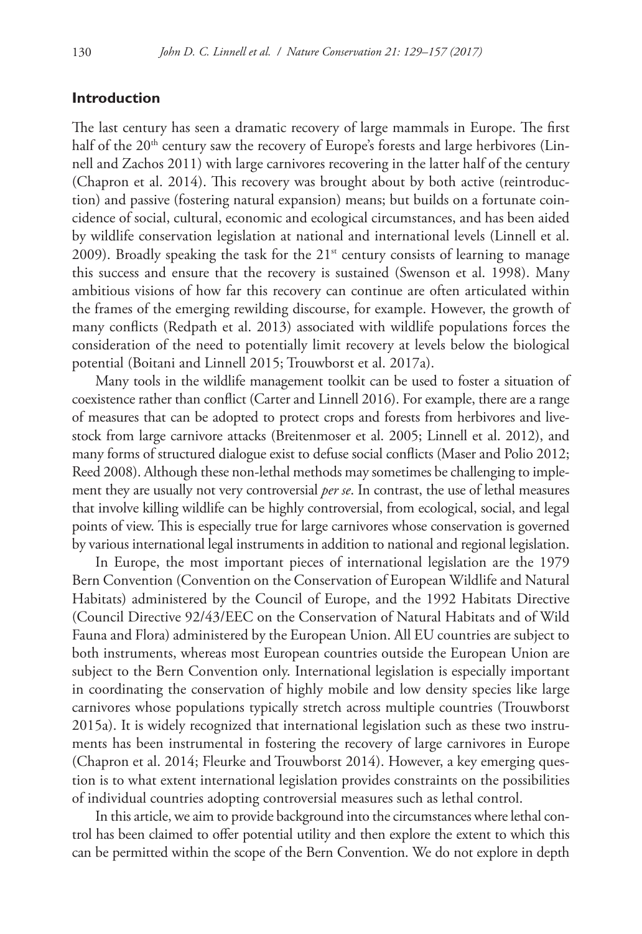### **Introduction**

The last century has seen a dramatic recovery of large mammals in Europe. The first half of the  $20<sup>th</sup>$  century saw the recovery of Europe's forests and large herbivores (Linnell and Zachos 2011) with large carnivores recovering in the latter half of the century (Chapron et al. 2014). This recovery was brought about by both active (reintroduction) and passive (fostering natural expansion) means; but builds on a fortunate coincidence of social, cultural, economic and ecological circumstances, and has been aided by wildlife conservation legislation at national and international levels (Linnell et al. 2009). Broadly speaking the task for the  $21<sup>st</sup>$  century consists of learning to manage this success and ensure that the recovery is sustained (Swenson et al. 1998). Many ambitious visions of how far this recovery can continue are often articulated within the frames of the emerging rewilding discourse, for example. However, the growth of many conflicts (Redpath et al. 2013) associated with wildlife populations forces the consideration of the need to potentially limit recovery at levels below the biological potential (Boitani and Linnell 2015; Trouwborst et al. 2017a).

Many tools in the wildlife management toolkit can be used to foster a situation of coexistence rather than conflict (Carter and Linnell 2016). For example, there are a range of measures that can be adopted to protect crops and forests from herbivores and livestock from large carnivore attacks (Breitenmoser et al. 2005; Linnell et al. 2012), and many forms of structured dialogue exist to defuse social conflicts (Maser and Polio 2012; Reed 2008). Although these non-lethal methods may sometimes be challenging to implement they are usually not very controversial *per se*. In contrast, the use of lethal measures that involve killing wildlife can be highly controversial, from ecological, social, and legal points of view. This is especially true for large carnivores whose conservation is governed by various international legal instruments in addition to national and regional legislation.

In Europe, the most important pieces of international legislation are the 1979 Bern Convention (Convention on the Conservation of European Wildlife and Natural Habitats) administered by the Council of Europe, and the 1992 Habitats Directive (Council Directive 92/43/EEC on the Conservation of Natural Habitats and of Wild Fauna and Flora) administered by the European Union. All EU countries are subject to both instruments, whereas most European countries outside the European Union are subject to the Bern Convention only. International legislation is especially important in coordinating the conservation of highly mobile and low density species like large carnivores whose populations typically stretch across multiple countries (Trouwborst 2015a). It is widely recognized that international legislation such as these two instruments has been instrumental in fostering the recovery of large carnivores in Europe (Chapron et al. 2014; Fleurke and Trouwborst 2014). However, a key emerging question is to what extent international legislation provides constraints on the possibilities of individual countries adopting controversial measures such as lethal control.

In this article, we aim to provide background into the circumstances where lethal control has been claimed to offer potential utility and then explore the extent to which this can be permitted within the scope of the Bern Convention. We do not explore in depth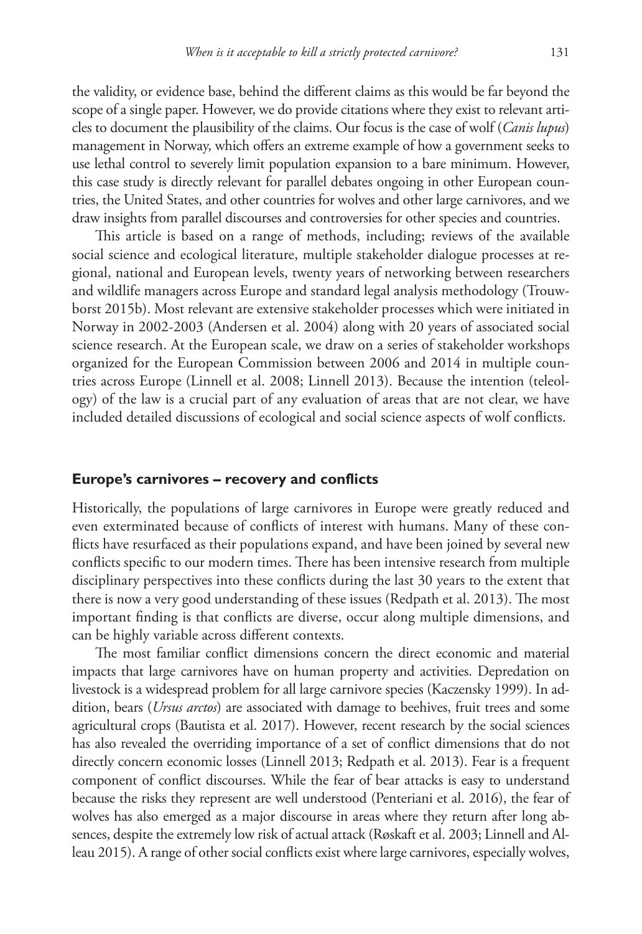the validity, or evidence base, behind the different claims as this would be far beyond the scope of a single paper. However, we do provide citations where they exist to relevant articles to document the plausibility of the claims. Our focus is the case of wolf (*Canis lupus*) management in Norway, which offers an extreme example of how a government seeks to use lethal control to severely limit population expansion to a bare minimum. However, this case study is directly relevant for parallel debates ongoing in other European countries, the United States, and other countries for wolves and other large carnivores, and we draw insights from parallel discourses and controversies for other species and countries.

This article is based on a range of methods, including; reviews of the available social science and ecological literature, multiple stakeholder dialogue processes at regional, national and European levels, twenty years of networking between researchers and wildlife managers across Europe and standard legal analysis methodology (Trouwborst 2015b). Most relevant are extensive stakeholder processes which were initiated in Norway in 2002-2003 (Andersen et al. 2004) along with 20 years of associated social science research. At the European scale, we draw on a series of stakeholder workshops organized for the European Commission between 2006 and 2014 in multiple countries across Europe (Linnell et al. 2008; Linnell 2013). Because the intention (teleology) of the law is a crucial part of any evaluation of areas that are not clear, we have included detailed discussions of ecological and social science aspects of wolf conflicts.

#### **Europe's carnivores – recovery and conflicts**

Historically, the populations of large carnivores in Europe were greatly reduced and even exterminated because of conflicts of interest with humans. Many of these conflicts have resurfaced as their populations expand, and have been joined by several new conflicts specific to our modern times. There has been intensive research from multiple disciplinary perspectives into these conflicts during the last 30 years to the extent that there is now a very good understanding of these issues (Redpath et al. 2013). The most important finding is that conflicts are diverse, occur along multiple dimensions, and can be highly variable across different contexts.

The most familiar conflict dimensions concern the direct economic and material impacts that large carnivores have on human property and activities. Depredation on livestock is a widespread problem for all large carnivore species (Kaczensky 1999). In addition, bears (*Ursus arctos*) are associated with damage to beehives, fruit trees and some agricultural crops (Bautista et al. 2017). However, recent research by the social sciences has also revealed the overriding importance of a set of conflict dimensions that do not directly concern economic losses (Linnell 2013; Redpath et al. 2013). Fear is a frequent component of conflict discourses. While the fear of bear attacks is easy to understand because the risks they represent are well understood (Penteriani et al. 2016), the fear of wolves has also emerged as a major discourse in areas where they return after long absences, despite the extremely low risk of actual attack (Røskaft et al. 2003; Linnell and Alleau 2015). A range of other social conflicts exist where large carnivores, especially wolves,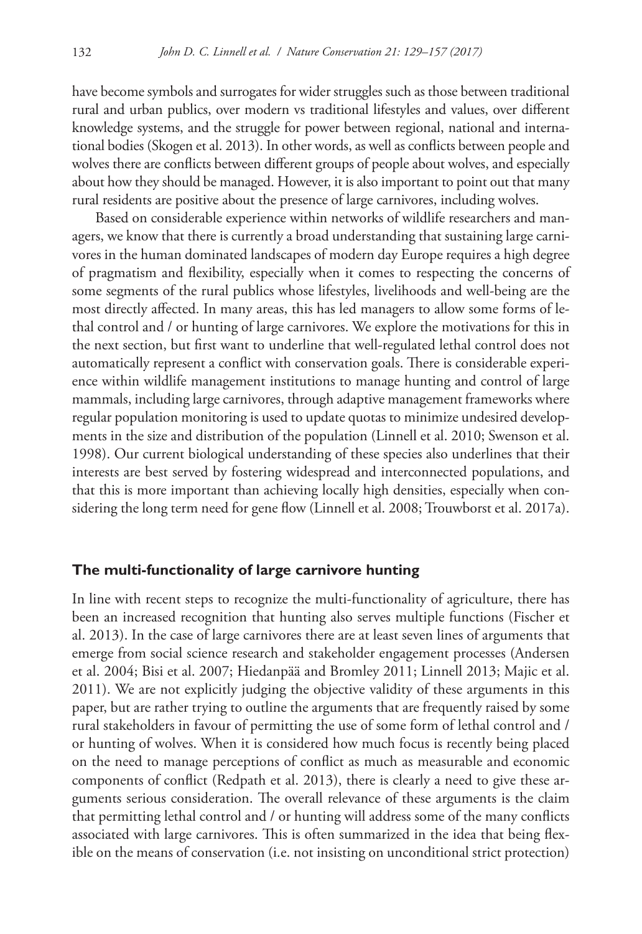have become symbols and surrogates for wider struggles such as those between traditional rural and urban publics, over modern vs traditional lifestyles and values, over different knowledge systems, and the struggle for power between regional, national and international bodies (Skogen et al. 2013). In other words, as well as conflicts between people and wolves there are conflicts between different groups of people about wolves, and especially about how they should be managed. However, it is also important to point out that many rural residents are positive about the presence of large carnivores, including wolves.

Based on considerable experience within networks of wildlife researchers and managers, we know that there is currently a broad understanding that sustaining large carnivores in the human dominated landscapes of modern day Europe requires a high degree of pragmatism and flexibility, especially when it comes to respecting the concerns of some segments of the rural publics whose lifestyles, livelihoods and well-being are the most directly affected. In many areas, this has led managers to allow some forms of lethal control and / or hunting of large carnivores. We explore the motivations for this in the next section, but first want to underline that well-regulated lethal control does not automatically represent a conflict with conservation goals. There is considerable experience within wildlife management institutions to manage hunting and control of large mammals, including large carnivores, through adaptive management frameworks where regular population monitoring is used to update quotas to minimize undesired developments in the size and distribution of the population (Linnell et al. 2010; Swenson et al. 1998). Our current biological understanding of these species also underlines that their interests are best served by fostering widespread and interconnected populations, and that this is more important than achieving locally high densities, especially when considering the long term need for gene flow (Linnell et al. 2008; Trouwborst et al. 2017a).

#### **The multi-functionality of large carnivore hunting**

In line with recent steps to recognize the multi-functionality of agriculture, there has been an increased recognition that hunting also serves multiple functions (Fischer et al. 2013). In the case of large carnivores there are at least seven lines of arguments that emerge from social science research and stakeholder engagement processes (Andersen et al. 2004; Bisi et al. 2007; Hiedanpää and Bromley 2011; Linnell 2013; Majic et al. 2011). We are not explicitly judging the objective validity of these arguments in this paper, but are rather trying to outline the arguments that are frequently raised by some rural stakeholders in favour of permitting the use of some form of lethal control and / or hunting of wolves. When it is considered how much focus is recently being placed on the need to manage perceptions of conflict as much as measurable and economic components of conflict (Redpath et al. 2013), there is clearly a need to give these arguments serious consideration. The overall relevance of these arguments is the claim that permitting lethal control and / or hunting will address some of the many conflicts associated with large carnivores. This is often summarized in the idea that being flexible on the means of conservation (i.e. not insisting on unconditional strict protection)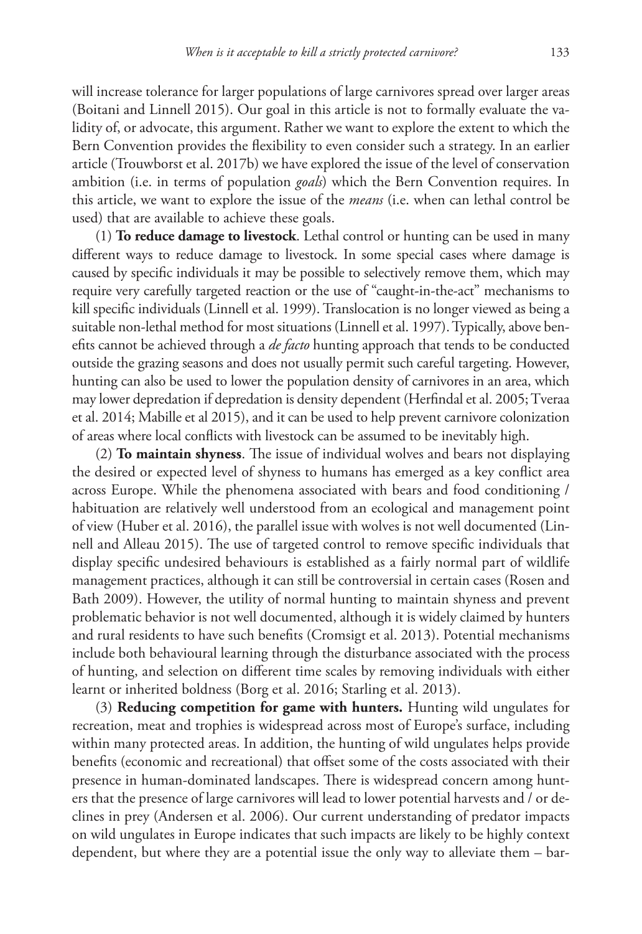will increase tolerance for larger populations of large carnivores spread over larger areas (Boitani and Linnell 2015). Our goal in this article is not to formally evaluate the validity of, or advocate, this argument. Rather we want to explore the extent to which the Bern Convention provides the flexibility to even consider such a strategy. In an earlier article (Trouwborst et al. 2017b) we have explored the issue of the level of conservation ambition (i.e. in terms of population *goals*) which the Bern Convention requires. In this article, we want to explore the issue of the *means* (i.e. when can lethal control be used) that are available to achieve these goals.

(1) **To reduce damage to livestock**. Lethal control or hunting can be used in many different ways to reduce damage to livestock. In some special cases where damage is caused by specific individuals it may be possible to selectively remove them, which may require very carefully targeted reaction or the use of "caught-in-the-act" mechanisms to kill specific individuals (Linnell et al. 1999). Translocation is no longer viewed as being a suitable non-lethal method for most situations (Linnell et al. 1997). Typically, above benefits cannot be achieved through a *de facto* hunting approach that tends to be conducted outside the grazing seasons and does not usually permit such careful targeting. However, hunting can also be used to lower the population density of carnivores in an area, which may lower depredation if depredation is density dependent (Herfindal et al. 2005; Tveraa et al. 2014; Mabille et al 2015), and it can be used to help prevent carnivore colonization of areas where local conflicts with livestock can be assumed to be inevitably high.

(2) **To maintain shyness**. The issue of individual wolves and bears not displaying the desired or expected level of shyness to humans has emerged as a key conflict area across Europe. While the phenomena associated with bears and food conditioning / habituation are relatively well understood from an ecological and management point of view (Huber et al. 2016), the parallel issue with wolves is not well documented (Linnell and Alleau 2015). The use of targeted control to remove specific individuals that display specific undesired behaviours is established as a fairly normal part of wildlife management practices, although it can still be controversial in certain cases (Rosen and Bath 2009). However, the utility of normal hunting to maintain shyness and prevent problematic behavior is not well documented, although it is widely claimed by hunters and rural residents to have such benefits (Cromsigt et al. 2013). Potential mechanisms include both behavioural learning through the disturbance associated with the process of hunting, and selection on different time scales by removing individuals with either learnt or inherited boldness (Borg et al. 2016; Starling et al. 2013).

(3) **Reducing competition for game with hunters.** Hunting wild ungulates for recreation, meat and trophies is widespread across most of Europe's surface, including within many protected areas. In addition, the hunting of wild ungulates helps provide benefits (economic and recreational) that offset some of the costs associated with their presence in human-dominated landscapes. There is widespread concern among hunters that the presence of large carnivores will lead to lower potential harvests and / or declines in prey (Andersen et al. 2006). Our current understanding of predator impacts on wild ungulates in Europe indicates that such impacts are likely to be highly context dependent, but where they are a potential issue the only way to alleviate them – bar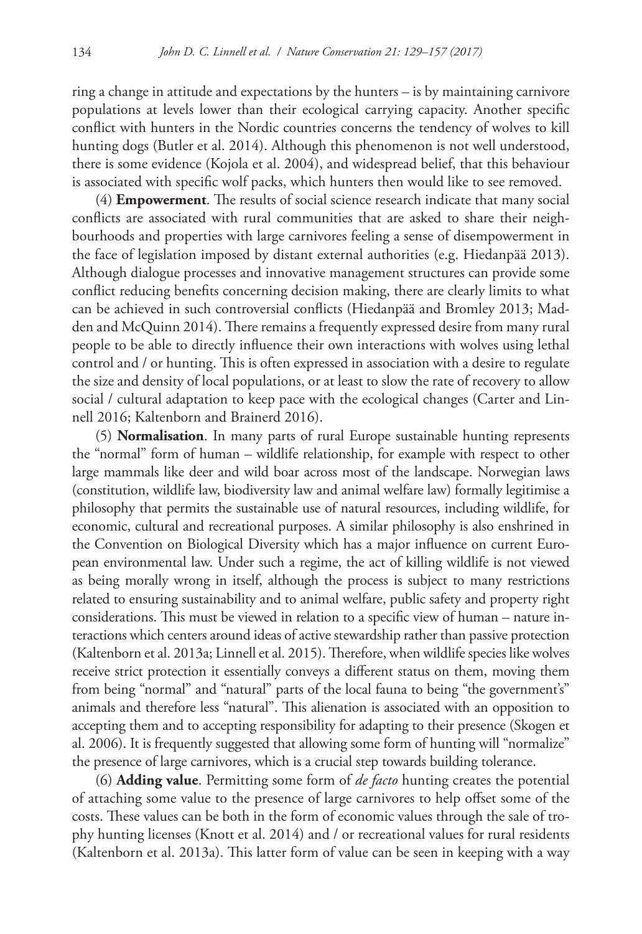ring a change in attitude and expectations by the hunters – is by maintaining carnivore populations at levels lower than their ecological carrying capacity. Another specific conflict with hunters in the Nordic countries concerns the tendency of wolves to kill hunting dogs (Butler et al. 2014). Although this phenomenon is not well understood, there is some evidence (Kojola et al. 2004), and widespread belief, that this behaviour is associated with specific wolf packs, which hunters then would like to see removed.

(4) **Empowerment**. The results of social science research indicate that many social conflicts are associated with rural communities that are asked to share their neighbourhoods and properties with large carnivores feeling a sense of disempowerment in the face of legislation imposed by distant external authorities (e.g. Hiedanpää 2013). Although dialogue processes and innovative management structures can provide some conflict reducing benefits concerning decision making, there are clearly limits to what can be achieved in such controversial conflicts (Hiedanpää and Bromley 2013; Madden and McQuinn 2014). There remains a frequently expressed desire from many rural people to be able to directly influence their own interactions with wolves using lethal control and / or hunting. This is often expressed in association with a desire to regulate the size and density of local populations, or at least to slow the rate of recovery to allow social / cultural adaptation to keep pace with the ecological changes (Carter and Linnell 2016; Kaltenborn and Brainerd 2016).

(5) **Normalisation**. In many parts of rural Europe sustainable hunting represents the "normal" form of human – wildlife relationship, for example with respect to other large mammals like deer and wild boar across most of the landscape. Norwegian laws (constitution, wildlife law, biodiversity law and animal welfare law) formally legitimise a philosophy that permits the sustainable use of natural resources, including wildlife, for economic, cultural and recreational purposes. A similar philosophy is also enshrined in the Convention on Biological Diversity which has a major influence on current European environmental law. Under such a regime, the act of killing wildlife is not viewed as being morally wrong in itself, although the process is subject to many restrictions related to ensuring sustainability and to animal welfare, public safety and property right considerations. This must be viewed in relation to a specific view of human – nature interactions which centers around ideas of active stewardship rather than passive protection (Kaltenborn et al. 2013a; Linnell et al. 2015). Therefore, when wildlife species like wolves receive strict protection it essentially conveys a different status on them, moving them from being "normal" and "natural" parts of the local fauna to being "the government's" animals and therefore less "natural". This alienation is associated with an opposition to accepting them and to accepting responsibility for adapting to their presence (Skogen et al. 2006). It is frequently suggested that allowing some form of hunting will "normalize" the presence of large carnivores, which is a crucial step towards building tolerance.

(6) **Adding value**. Permitting some form of *de facto* hunting creates the potential of attaching some value to the presence of large carnivores to help offset some of the costs. These values can be both in the form of economic values through the sale of trophy hunting licenses (Knott et al. 2014) and / or recreational values for rural residents (Kaltenborn et al. 2013a). This latter form of value can be seen in keeping with a way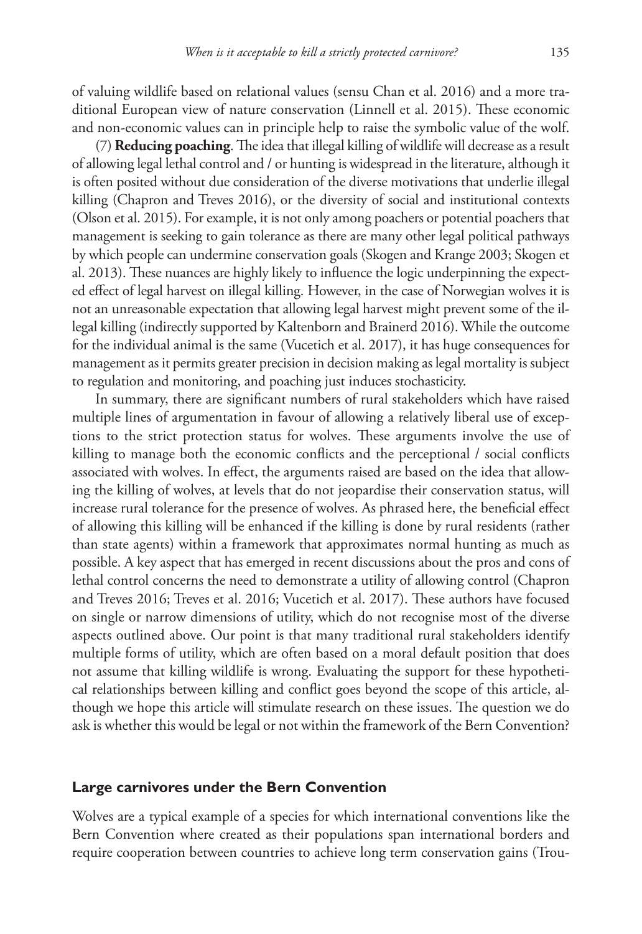of valuing wildlife based on relational values (sensu Chan et al. 2016) and a more traditional European view of nature conservation (Linnell et al. 2015). These economic and non-economic values can in principle help to raise the symbolic value of the wolf.

(7) **Reducing poaching**. The idea that illegal killing of wildlife will decrease as a result of allowing legal lethal control and / or hunting is widespread in the literature, although it is often posited without due consideration of the diverse motivations that underlie illegal killing (Chapron and Treves 2016), or the diversity of social and institutional contexts (Olson et al. 2015). For example, it is not only among poachers or potential poachers that management is seeking to gain tolerance as there are many other legal political pathways by which people can undermine conservation goals (Skogen and Krange 2003; Skogen et al. 2013). These nuances are highly likely to influence the logic underpinning the expected effect of legal harvest on illegal killing. However, in the case of Norwegian wolves it is not an unreasonable expectation that allowing legal harvest might prevent some of the illegal killing (indirectly supported by Kaltenborn and Brainerd 2016). While the outcome for the individual animal is the same (Vucetich et al. 2017), it has huge consequences for management as it permits greater precision in decision making as legal mortality is subject to regulation and monitoring, and poaching just induces stochasticity.

In summary, there are significant numbers of rural stakeholders which have raised multiple lines of argumentation in favour of allowing a relatively liberal use of exceptions to the strict protection status for wolves. These arguments involve the use of killing to manage both the economic conflicts and the perceptional / social conflicts associated with wolves. In effect, the arguments raised are based on the idea that allowing the killing of wolves, at levels that do not jeopardise their conservation status, will increase rural tolerance for the presence of wolves. As phrased here, the beneficial effect of allowing this killing will be enhanced if the killing is done by rural residents (rather than state agents) within a framework that approximates normal hunting as much as possible. A key aspect that has emerged in recent discussions about the pros and cons of lethal control concerns the need to demonstrate a utility of allowing control (Chapron and Treves 2016; Treves et al. 2016; Vucetich et al. 2017). These authors have focused on single or narrow dimensions of utility, which do not recognise most of the diverse aspects outlined above. Our point is that many traditional rural stakeholders identify multiple forms of utility, which are often based on a moral default position that does not assume that killing wildlife is wrong. Evaluating the support for these hypothetical relationships between killing and conflict goes beyond the scope of this article, although we hope this article will stimulate research on these issues. The question we do ask is whether this would be legal or not within the framework of the Bern Convention?

#### **Large carnivores under the Bern Convention**

Wolves are a typical example of a species for which international conventions like the Bern Convention where created as their populations span international borders and require cooperation between countries to achieve long term conservation gains (Trou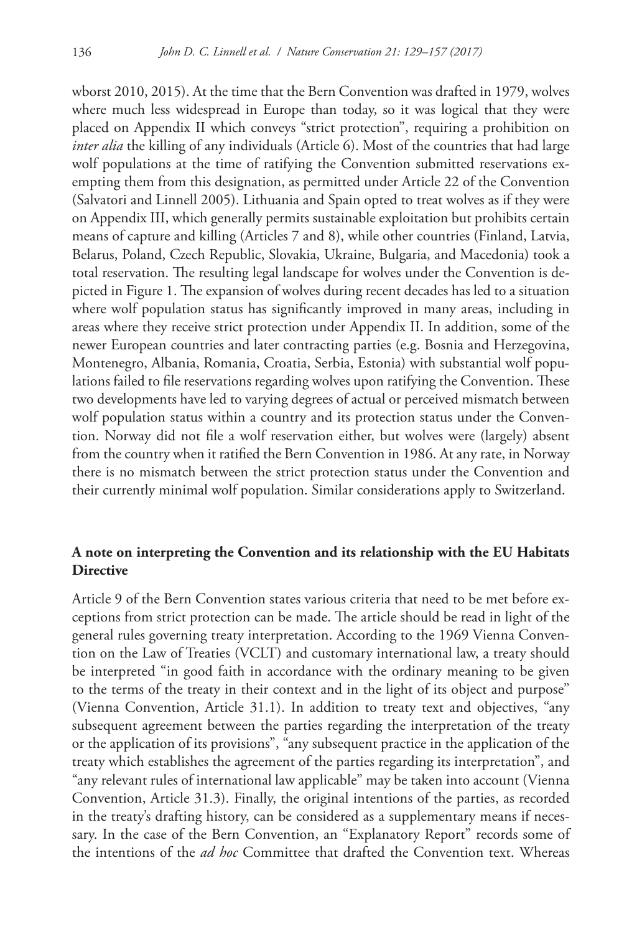wborst 2010, 2015). At the time that the Bern Convention was drafted in 1979, wolves where much less widespread in Europe than today, so it was logical that they were placed on Appendix II which conveys "strict protection", requiring a prohibition on *inter alia* the killing of any individuals (Article 6). Most of the countries that had large wolf populations at the time of ratifying the Convention submitted reservations exempting them from this designation, as permitted under Article 22 of the Convention (Salvatori and Linnell 2005). Lithuania and Spain opted to treat wolves as if they were on Appendix III, which generally permits sustainable exploitation but prohibits certain means of capture and killing (Articles 7 and 8), while other countries (Finland, Latvia, Belarus, Poland, Czech Republic, Slovakia, Ukraine, Bulgaria, and Macedonia) took a total reservation. The resulting legal landscape for wolves under the Convention is depicted in Figure 1. The expansion of wolves during recent decades has led to a situation where wolf population status has significantly improved in many areas, including in areas where they receive strict protection under Appendix II. In addition, some of the newer European countries and later contracting parties (e.g. Bosnia and Herzegovina, Montenegro, Albania, Romania, Croatia, Serbia, Estonia) with substantial wolf populations failed to file reservations regarding wolves upon ratifying the Convention. These two developments have led to varying degrees of actual or perceived mismatch between wolf population status within a country and its protection status under the Convention. Norway did not file a wolf reservation either, but wolves were (largely) absent from the country when it ratified the Bern Convention in 1986. At any rate, in Norway there is no mismatch between the strict protection status under the Convention and their currently minimal wolf population. Similar considerations apply to Switzerland.

# **A note on interpreting the Convention and its relationship with the EU Habitats Directive**

Article 9 of the Bern Convention states various criteria that need to be met before exceptions from strict protection can be made. The article should be read in light of the general rules governing treaty interpretation. According to the 1969 Vienna Convention on the Law of Treaties (VCLT) and customary international law, a treaty should be interpreted "in good faith in accordance with the ordinary meaning to be given to the terms of the treaty in their context and in the light of its object and purpose" (Vienna Convention, Article 31.1). In addition to treaty text and objectives, "any subsequent agreement between the parties regarding the interpretation of the treaty or the application of its provisions", "any subsequent practice in the application of the treaty which establishes the agreement of the parties regarding its interpretation", and "any relevant rules of international law applicable" may be taken into account (Vienna Convention, Article 31.3). Finally, the original intentions of the parties, as recorded in the treaty's drafting history, can be considered as a supplementary means if necessary. In the case of the Bern Convention, an "Explanatory Report" records some of the intentions of the *ad hoc* Committee that drafted the Convention text. Whereas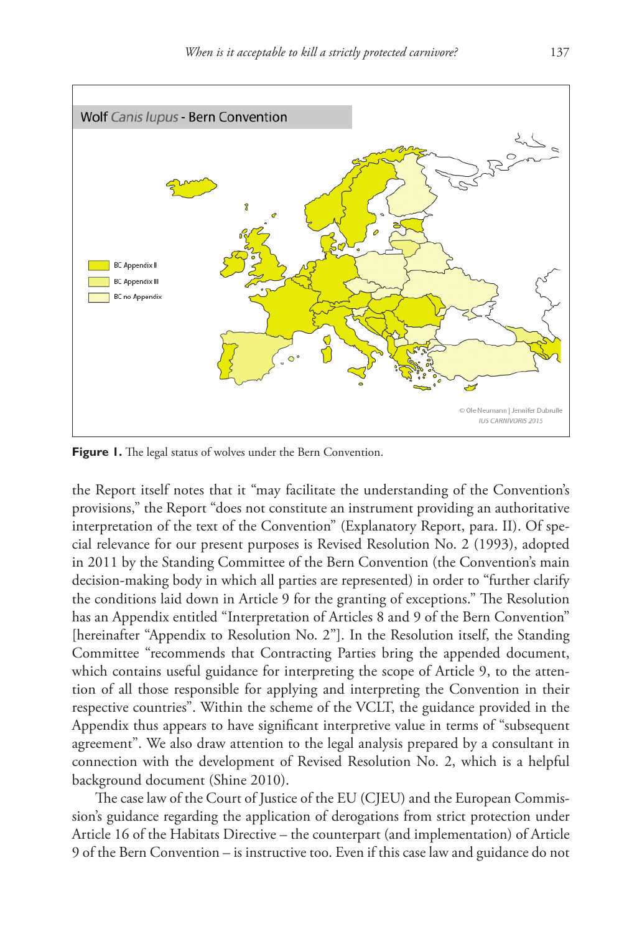

**Figure 1.** The legal status of wolves under the Bern Convention.

the Report itself notes that it "may facilitate the understanding of the Convention's provisions," the Report "does not constitute an instrument providing an authoritative interpretation of the text of the Convention" (Explanatory Report, para. II). Of special relevance for our present purposes is Revised Resolution No. 2 (1993), adopted in 2011 by the Standing Committee of the Bern Convention (the Convention's main decision-making body in which all parties are represented) in order to "further clarify the conditions laid down in Article 9 for the granting of exceptions." The Resolution has an Appendix entitled "Interpretation of Articles 8 and 9 of the Bern Convention" [hereinafter "Appendix to Resolution No. 2"]. In the Resolution itself, the Standing Committee "recommends that Contracting Parties bring the appended document, which contains useful guidance for interpreting the scope of Article 9, to the attention of all those responsible for applying and interpreting the Convention in their respective countries". Within the scheme of the VCLT, the guidance provided in the Appendix thus appears to have significant interpretive value in terms of "subsequent agreement". We also draw attention to the legal analysis prepared by a consultant in connection with the development of Revised Resolution No. 2, which is a helpful background document (Shine 2010).

The case law of the Court of Justice of the EU (CJEU) and the European Commission's guidance regarding the application of derogations from strict protection under Article 16 of the Habitats Directive – the counterpart (and implementation) of Article 9 of the Bern Convention – is instructive too. Even if this case law and guidance do not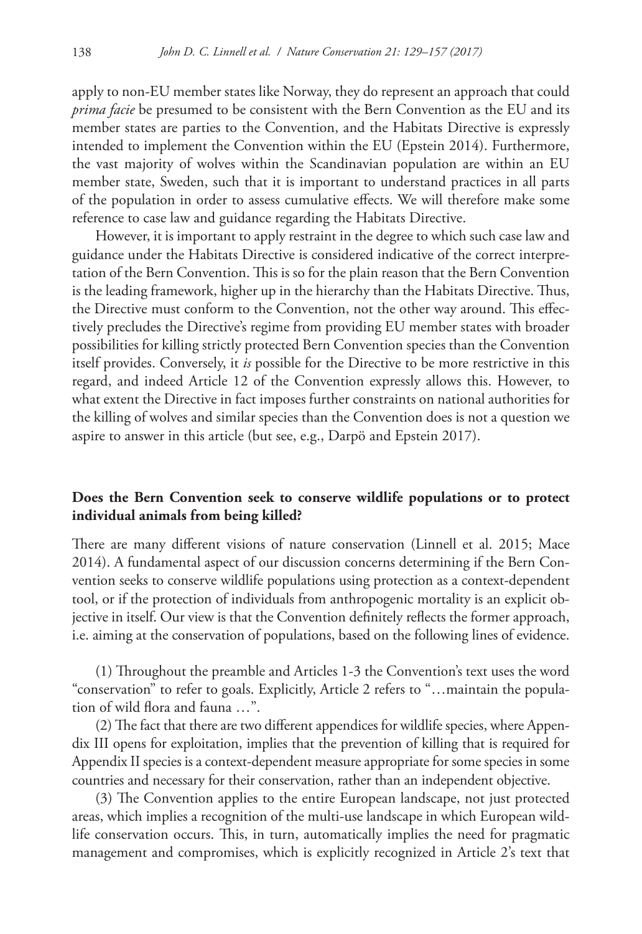apply to non-EU member states like Norway, they do represent an approach that could *prima facie* be presumed to be consistent with the Bern Convention as the EU and its member states are parties to the Convention, and the Habitats Directive is expressly intended to implement the Convention within the EU (Epstein 2014). Furthermore, the vast majority of wolves within the Scandinavian population are within an EU member state, Sweden, such that it is important to understand practices in all parts of the population in order to assess cumulative effects. We will therefore make some reference to case law and guidance regarding the Habitats Directive.

However, it is important to apply restraint in the degree to which such case law and guidance under the Habitats Directive is considered indicative of the correct interpretation of the Bern Convention. This is so for the plain reason that the Bern Convention is the leading framework, higher up in the hierarchy than the Habitats Directive. Thus, the Directive must conform to the Convention, not the other way around. This effectively precludes the Directive's regime from providing EU member states with broader possibilities for killing strictly protected Bern Convention species than the Convention itself provides. Conversely, it *is* possible for the Directive to be more restrictive in this regard, and indeed Article 12 of the Convention expressly allows this. However, to what extent the Directive in fact imposes further constraints on national authorities for the killing of wolves and similar species than the Convention does is not a question we aspire to answer in this article (but see, e.g., Darpö and Epstein 2017).

# **Does the Bern Convention seek to conserve wildlife populations or to protect individual animals from being killed?**

There are many different visions of nature conservation (Linnell et al. 2015; Mace 2014). A fundamental aspect of our discussion concerns determining if the Bern Convention seeks to conserve wildlife populations using protection as a context-dependent tool, or if the protection of individuals from anthropogenic mortality is an explicit objective in itself. Our view is that the Convention definitely reflects the former approach, i.e. aiming at the conservation of populations, based on the following lines of evidence.

(1) Throughout the preamble and Articles 1-3 the Convention's text uses the word "conservation" to refer to goals. Explicitly, Article 2 refers to "…maintain the population of wild flora and fauna …".

(2) The fact that there are two different appendices for wildlife species, where Appendix III opens for exploitation, implies that the prevention of killing that is required for Appendix II species is a context-dependent measure appropriate for some species in some countries and necessary for their conservation, rather than an independent objective.

(3) The Convention applies to the entire European landscape, not just protected areas, which implies a recognition of the multi-use landscape in which European wildlife conservation occurs. This, in turn, automatically implies the need for pragmatic management and compromises, which is explicitly recognized in Article 2's text that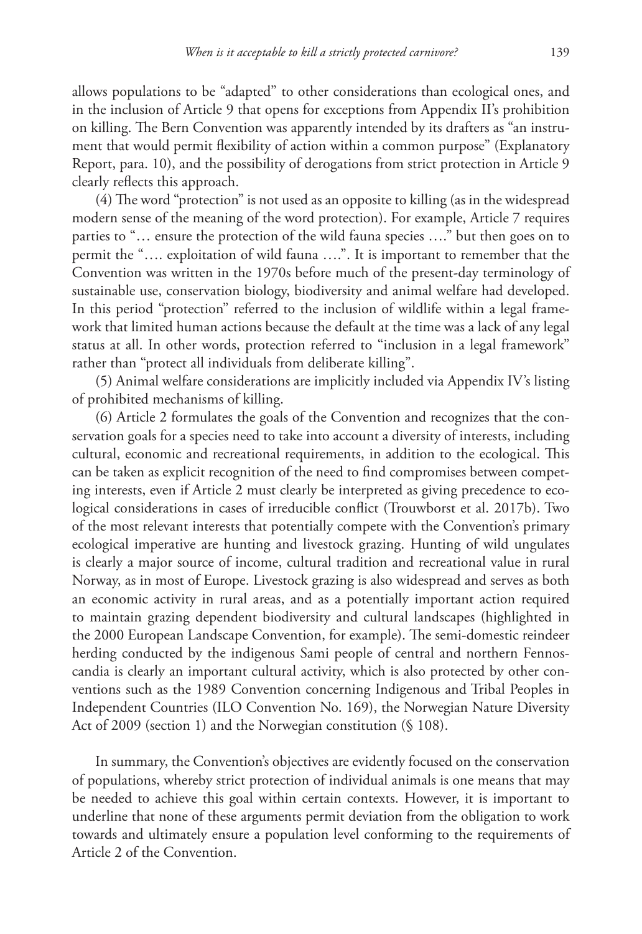allows populations to be "adapted" to other considerations than ecological ones, and in the inclusion of Article 9 that opens for exceptions from Appendix II's prohibition on killing. The Bern Convention was apparently intended by its drafters as "an instrument that would permit flexibility of action within a common purpose" (Explanatory Report, para. 10), and the possibility of derogations from strict protection in Article 9 clearly reflects this approach.

(4) The word "protection" is not used as an opposite to killing (as in the widespread modern sense of the meaning of the word protection). For example, Article 7 requires parties to "… ensure the protection of the wild fauna species …." but then goes on to permit the "…. exploitation of wild fauna ….". It is important to remember that the Convention was written in the 1970s before much of the present-day terminology of sustainable use, conservation biology, biodiversity and animal welfare had developed. In this period "protection" referred to the inclusion of wildlife within a legal framework that limited human actions because the default at the time was a lack of any legal status at all. In other words, protection referred to "inclusion in a legal framework" rather than "protect all individuals from deliberate killing".

(5) Animal welfare considerations are implicitly included via Appendix IV's listing of prohibited mechanisms of killing.

(6) Article 2 formulates the goals of the Convention and recognizes that the conservation goals for a species need to take into account a diversity of interests, including cultural, economic and recreational requirements, in addition to the ecological. This can be taken as explicit recognition of the need to find compromises between competing interests, even if Article 2 must clearly be interpreted as giving precedence to ecological considerations in cases of irreducible conflict (Trouwborst et al. 2017b). Two of the most relevant interests that potentially compete with the Convention's primary ecological imperative are hunting and livestock grazing. Hunting of wild ungulates is clearly a major source of income, cultural tradition and recreational value in rural Norway, as in most of Europe. Livestock grazing is also widespread and serves as both an economic activity in rural areas, and as a potentially important action required to maintain grazing dependent biodiversity and cultural landscapes (highlighted in the 2000 European Landscape Convention, for example). The semi-domestic reindeer herding conducted by the indigenous Sami people of central and northern Fennoscandia is clearly an important cultural activity, which is also protected by other conventions such as the 1989 Convention concerning Indigenous and Tribal Peoples in Independent Countries (ILO Convention No. 169), the Norwegian Nature Diversity Act of 2009 (section 1) and the Norwegian constitution (§ 108).

In summary, the Convention's objectives are evidently focused on the conservation of populations, whereby strict protection of individual animals is one means that may be needed to achieve this goal within certain contexts. However, it is important to underline that none of these arguments permit deviation from the obligation to work towards and ultimately ensure a population level conforming to the requirements of Article 2 of the Convention.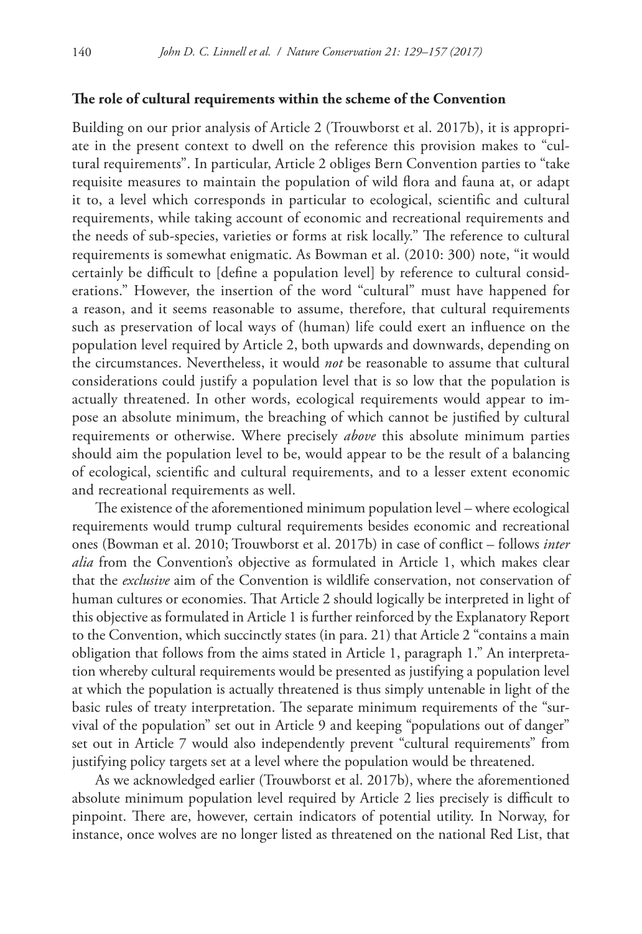#### **The role of cultural requirements within the scheme of the Convention**

Building on our prior analysis of Article 2 (Trouwborst et al. 2017b), it is appropriate in the present context to dwell on the reference this provision makes to "cultural requirements". In particular, Article 2 obliges Bern Convention parties to "take requisite measures to maintain the population of wild flora and fauna at, or adapt it to, a level which corresponds in particular to ecological, scientific and cultural requirements, while taking account of economic and recreational requirements and the needs of sub-species, varieties or forms at risk locally." The reference to cultural requirements is somewhat enigmatic. As Bowman et al. (2010: 300) note, "it would certainly be difficult to [define a population level] by reference to cultural considerations." However, the insertion of the word "cultural" must have happened for a reason, and it seems reasonable to assume, therefore, that cultural requirements such as preservation of local ways of (human) life could exert an influence on the population level required by Article 2, both upwards and downwards, depending on the circumstances. Nevertheless, it would *not* be reasonable to assume that cultural considerations could justify a population level that is so low that the population is actually threatened. In other words, ecological requirements would appear to impose an absolute minimum, the breaching of which cannot be justified by cultural requirements or otherwise. Where precisely *above* this absolute minimum parties should aim the population level to be, would appear to be the result of a balancing of ecological, scientific and cultural requirements, and to a lesser extent economic and recreational requirements as well.

The existence of the aforementioned minimum population level – where ecological requirements would trump cultural requirements besides economic and recreational ones (Bowman et al. 2010; Trouwborst et al. 2017b) in case of conflict – follows *inter alia* from the Convention's objective as formulated in Article 1, which makes clear that the *exclusive* aim of the Convention is wildlife conservation, not conservation of human cultures or economies. That Article 2 should logically be interpreted in light of this objective as formulated in Article 1 is further reinforced by the Explanatory Report to the Convention, which succinctly states (in para. 21) that Article 2 "contains a main obligation that follows from the aims stated in Article 1, paragraph 1." An interpretation whereby cultural requirements would be presented as justifying a population level at which the population is actually threatened is thus simply untenable in light of the basic rules of treaty interpretation. The separate minimum requirements of the "survival of the population" set out in Article 9 and keeping "populations out of danger" set out in Article 7 would also independently prevent "cultural requirements" from justifying policy targets set at a level where the population would be threatened.

As we acknowledged earlier (Trouwborst et al. 2017b), where the aforementioned absolute minimum population level required by Article 2 lies precisely is difficult to pinpoint. There are, however, certain indicators of potential utility. In Norway, for instance, once wolves are no longer listed as threatened on the national Red List, that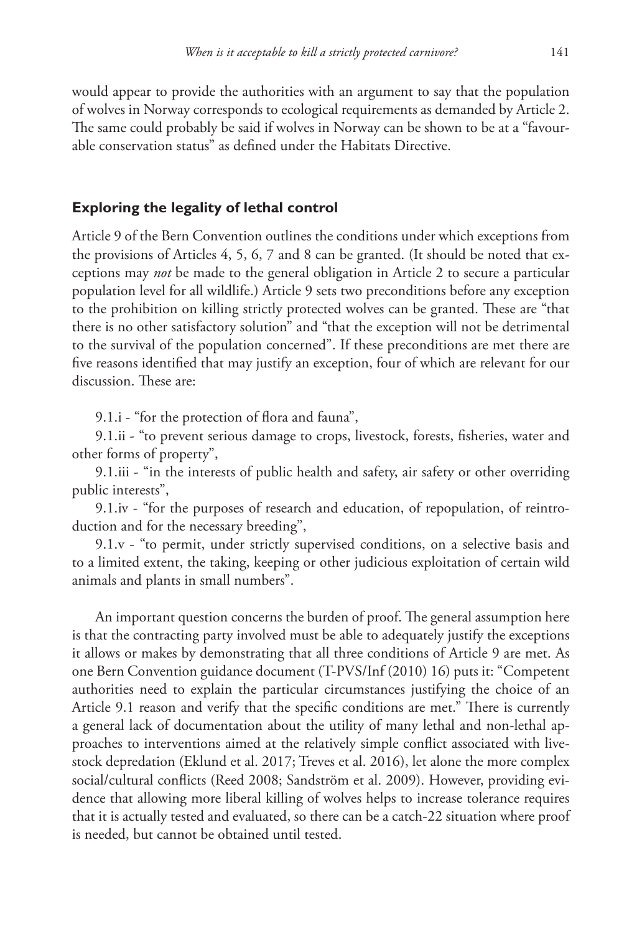would appear to provide the authorities with an argument to say that the population of wolves in Norway corresponds to ecological requirements as demanded by Article 2. The same could probably be said if wolves in Norway can be shown to be at a "favourable conservation status" as defined under the Habitats Directive.

## **Exploring the legality of lethal control**

Article 9 of the Bern Convention outlines the conditions under which exceptions from the provisions of Articles 4, 5, 6, 7 and 8 can be granted. (It should be noted that exceptions may *not* be made to the general obligation in Article 2 to secure a particular population level for all wildlife.) Article 9 sets two preconditions before any exception to the prohibition on killing strictly protected wolves can be granted. These are "that there is no other satisfactory solution" and "that the exception will not be detrimental to the survival of the population concerned". If these preconditions are met there are five reasons identified that may justify an exception, four of which are relevant for our discussion. These are:

9.1.i - "for the protection of flora and fauna",

9.1.ii - "to prevent serious damage to crops, livestock, forests, fisheries, water and other forms of property",

9.1.iii - "in the interests of public health and safety, air safety or other overriding public interests",

9.1.iv - "for the purposes of research and education, of repopulation, of reintroduction and for the necessary breeding",

9.1.v - "to permit, under strictly supervised conditions, on a selective basis and to a limited extent, the taking, keeping or other judicious exploitation of certain wild animals and plants in small numbers".

An important question concerns the burden of proof. The general assumption here is that the contracting party involved must be able to adequately justify the exceptions it allows or makes by demonstrating that all three conditions of Article 9 are met. As one Bern Convention guidance document (T-PVS/Inf (2010) 16) puts it: "Competent authorities need to explain the particular circumstances justifying the choice of an Article 9.1 reason and verify that the specific conditions are met." There is currently a general lack of documentation about the utility of many lethal and non-lethal approaches to interventions aimed at the relatively simple conflict associated with livestock depredation (Eklund et al. 2017; Treves et al. 2016), let alone the more complex social/cultural conflicts (Reed 2008; Sandström et al. 2009). However, providing evidence that allowing more liberal killing of wolves helps to increase tolerance requires that it is actually tested and evaluated, so there can be a catch-22 situation where proof is needed, but cannot be obtained until tested.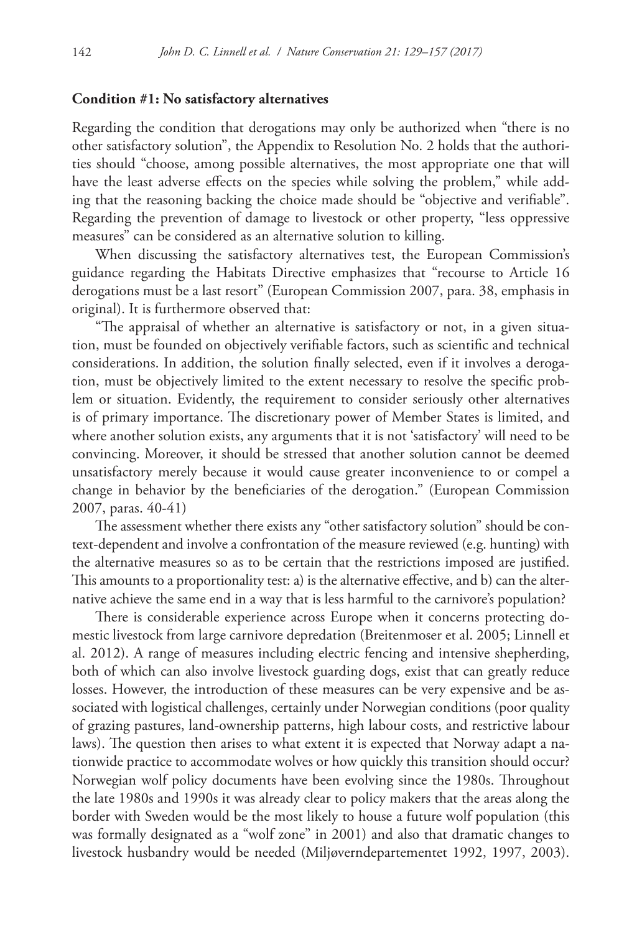#### **Condition #1: No satisfactory alternatives**

Regarding the condition that derogations may only be authorized when "there is no other satisfactory solution", the Appendix to Resolution No. 2 holds that the authorities should "choose, among possible alternatives, the most appropriate one that will have the least adverse effects on the species while solving the problem," while adding that the reasoning backing the choice made should be "objective and verifiable". Regarding the prevention of damage to livestock or other property, "less oppressive measures" can be considered as an alternative solution to killing.

When discussing the satisfactory alternatives test, the European Commission's guidance regarding the Habitats Directive emphasizes that "recourse to Article 16 derogations must be a last resort" (European Commission 2007, para. 38, emphasis in original). It is furthermore observed that:

"The appraisal of whether an alternative is satisfactory or not, in a given situation, must be founded on objectively verifiable factors, such as scientific and technical considerations. In addition, the solution finally selected, even if it involves a derogation, must be objectively limited to the extent necessary to resolve the specific problem or situation. Evidently, the requirement to consider seriously other alternatives is of primary importance. The discretionary power of Member States is limited, and where another solution exists, any arguments that it is not 'satisfactory' will need to be convincing. Moreover, it should be stressed that another solution cannot be deemed unsatisfactory merely because it would cause greater inconvenience to or compel a change in behavior by the beneficiaries of the derogation." (European Commission 2007, paras. 40-41)

The assessment whether there exists any "other satisfactory solution" should be context-dependent and involve a confrontation of the measure reviewed (e.g. hunting) with the alternative measures so as to be certain that the restrictions imposed are justified. This amounts to a proportionality test: a) is the alternative effective, and b) can the alternative achieve the same end in a way that is less harmful to the carnivore's population?

There is considerable experience across Europe when it concerns protecting domestic livestock from large carnivore depredation (Breitenmoser et al. 2005; Linnell et al. 2012). A range of measures including electric fencing and intensive shepherding, both of which can also involve livestock guarding dogs, exist that can greatly reduce losses. However, the introduction of these measures can be very expensive and be associated with logistical challenges, certainly under Norwegian conditions (poor quality of grazing pastures, land-ownership patterns, high labour costs, and restrictive labour laws). The question then arises to what extent it is expected that Norway adapt a nationwide practice to accommodate wolves or how quickly this transition should occur? Norwegian wolf policy documents have been evolving since the 1980s. Throughout the late 1980s and 1990s it was already clear to policy makers that the areas along the border with Sweden would be the most likely to house a future wolf population (this was formally designated as a "wolf zone" in 2001) and also that dramatic changes to livestock husbandry would be needed (Miljøverndepartementet 1992, 1997, 2003).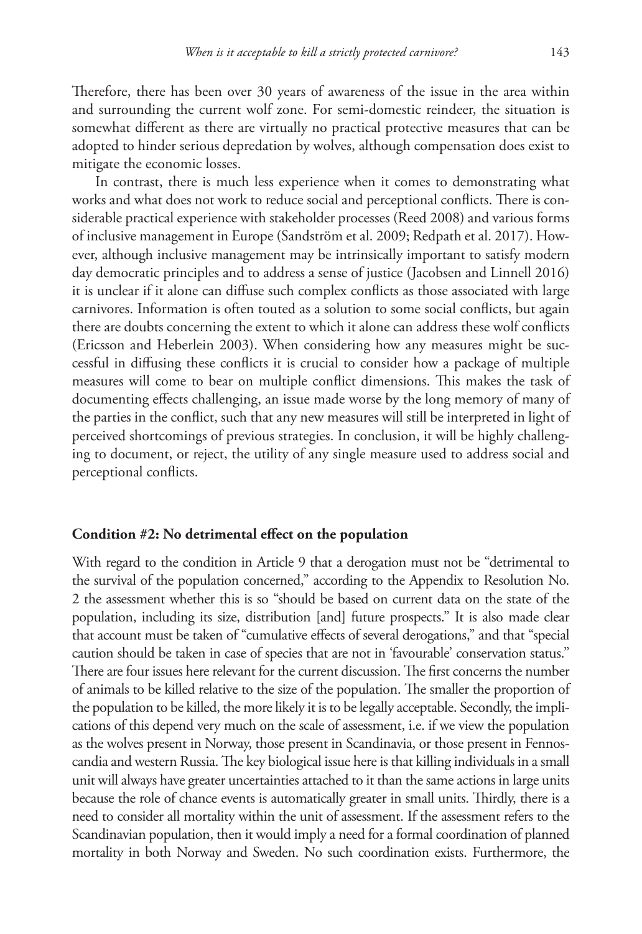Therefore, there has been over 30 years of awareness of the issue in the area within and surrounding the current wolf zone. For semi-domestic reindeer, the situation is somewhat different as there are virtually no practical protective measures that can be adopted to hinder serious depredation by wolves, although compensation does exist to mitigate the economic losses.

In contrast, there is much less experience when it comes to demonstrating what works and what does not work to reduce social and perceptional conflicts. There is considerable practical experience with stakeholder processes (Reed 2008) and various forms of inclusive management in Europe (Sandström et al. 2009; Redpath et al. 2017). However, although inclusive management may be intrinsically important to satisfy modern day democratic principles and to address a sense of justice (Jacobsen and Linnell 2016) it is unclear if it alone can diffuse such complex conflicts as those associated with large carnivores. Information is often touted as a solution to some social conflicts, but again there are doubts concerning the extent to which it alone can address these wolf conflicts (Ericsson and Heberlein 2003). When considering how any measures might be successful in diffusing these conflicts it is crucial to consider how a package of multiple measures will come to bear on multiple conflict dimensions. This makes the task of documenting effects challenging, an issue made worse by the long memory of many of the parties in the conflict, such that any new measures will still be interpreted in light of perceived shortcomings of previous strategies. In conclusion, it will be highly challenging to document, or reject, the utility of any single measure used to address social and perceptional conflicts.

#### **Condition #2: No detrimental effect on the population**

With regard to the condition in Article 9 that a derogation must not be "detrimental to the survival of the population concerned," according to the Appendix to Resolution No. 2 the assessment whether this is so "should be based on current data on the state of the population, including its size, distribution [and] future prospects." It is also made clear that account must be taken of "cumulative effects of several derogations," and that "special caution should be taken in case of species that are not in 'favourable' conservation status." There are four issues here relevant for the current discussion. The first concerns the number of animals to be killed relative to the size of the population. The smaller the proportion of the population to be killed, the more likely it is to be legally acceptable. Secondly, the implications of this depend very much on the scale of assessment, i.e. if we view the population as the wolves present in Norway, those present in Scandinavia, or those present in Fennoscandia and western Russia. The key biological issue here is that killing individuals in a small unit will always have greater uncertainties attached to it than the same actions in large units because the role of chance events is automatically greater in small units. Thirdly, there is a need to consider all mortality within the unit of assessment. If the assessment refers to the Scandinavian population, then it would imply a need for a formal coordination of planned mortality in both Norway and Sweden. No such coordination exists. Furthermore, the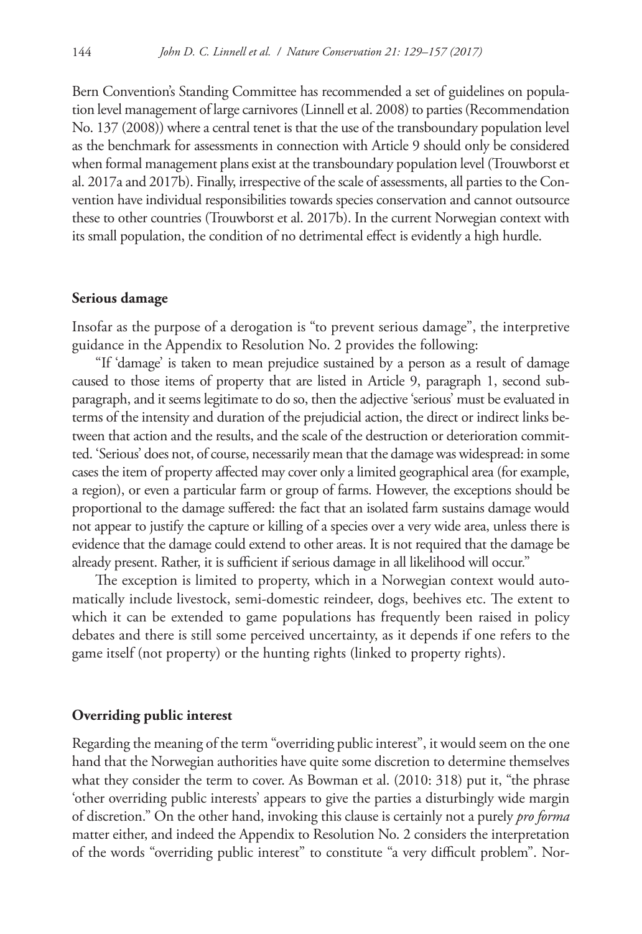Bern Convention's Standing Committee has recommended a set of guidelines on population level management of large carnivores (Linnell et al. 2008) to parties (Recommendation No. 137 (2008)) where a central tenet is that the use of the transboundary population level as the benchmark for assessments in connection with Article 9 should only be considered when formal management plans exist at the transboundary population level (Trouwborst et al. 2017a and 2017b). Finally, irrespective of the scale of assessments, all parties to the Convention have individual responsibilities towards species conservation and cannot outsource these to other countries (Trouwborst et al. 2017b). In the current Norwegian context with its small population, the condition of no detrimental effect is evidently a high hurdle.

#### **Serious damage**

Insofar as the purpose of a derogation is "to prevent serious damage", the interpretive guidance in the Appendix to Resolution No. 2 provides the following:

"If 'damage' is taken to mean prejudice sustained by a person as a result of damage caused to those items of property that are listed in Article 9, paragraph 1, second subparagraph, and it seems legitimate to do so, then the adjective 'serious' must be evaluated in terms of the intensity and duration of the prejudicial action, the direct or indirect links between that action and the results, and the scale of the destruction or deterioration committed. 'Serious' does not, of course, necessarily mean that the damage was widespread: in some cases the item of property affected may cover only a limited geographical area (for example, a region), or even a particular farm or group of farms. However, the exceptions should be proportional to the damage suffered: the fact that an isolated farm sustains damage would not appear to justify the capture or killing of a species over a very wide area, unless there is evidence that the damage could extend to other areas. It is not required that the damage be already present. Rather, it is sufficient if serious damage in all likelihood will occur."

The exception is limited to property, which in a Norwegian context would automatically include livestock, semi-domestic reindeer, dogs, beehives etc. The extent to which it can be extended to game populations has frequently been raised in policy debates and there is still some perceived uncertainty, as it depends if one refers to the game itself (not property) or the hunting rights (linked to property rights).

#### **Overriding public interest**

Regarding the meaning of the term "overriding public interest", it would seem on the one hand that the Norwegian authorities have quite some discretion to determine themselves what they consider the term to cover. As Bowman et al. (2010: 318) put it, "the phrase 'other overriding public interests' appears to give the parties a disturbingly wide margin of discretion." On the other hand, invoking this clause is certainly not a purely *pro forma*  matter either, and indeed the Appendix to Resolution No. 2 considers the interpretation of the words "overriding public interest" to constitute "a very difficult problem". Nor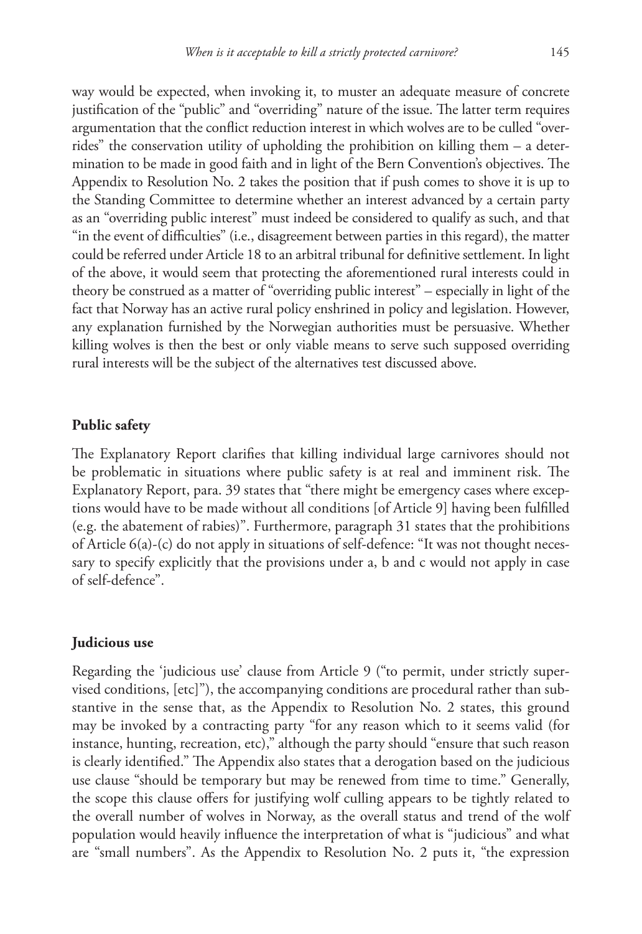way would be expected, when invoking it, to muster an adequate measure of concrete justification of the "public" and "overriding" nature of the issue. The latter term requires argumentation that the conflict reduction interest in which wolves are to be culled "overrides" the conservation utility of upholding the prohibition on killing them – a determination to be made in good faith and in light of the Bern Convention's objectives. The Appendix to Resolution No. 2 takes the position that if push comes to shove it is up to the Standing Committee to determine whether an interest advanced by a certain party as an "overriding public interest" must indeed be considered to qualify as such, and that "in the event of difficulties" (i.e., disagreement between parties in this regard), the matter could be referred under Article 18 to an arbitral tribunal for definitive settlement. In light of the above, it would seem that protecting the aforementioned rural interests could in theory be construed as a matter of "overriding public interest" – especially in light of the fact that Norway has an active rural policy enshrined in policy and legislation. However, any explanation furnished by the Norwegian authorities must be persuasive. Whether killing wolves is then the best or only viable means to serve such supposed overriding rural interests will be the subject of the alternatives test discussed above.

#### **Public safety**

The Explanatory Report clarifies that killing individual large carnivores should not be problematic in situations where public safety is at real and imminent risk. The Explanatory Report, para. 39 states that "there might be emergency cases where exceptions would have to be made without all conditions [of Article 9] having been fulfilled (e.g. the abatement of rabies)". Furthermore, paragraph 31 states that the prohibitions of Article 6(a)-(c) do not apply in situations of self-defence: "It was not thought necessary to specify explicitly that the provisions under a, b and c would not apply in case of self-defence".

#### **Judicious use**

Regarding the 'judicious use' clause from Article 9 ("to permit, under strictly supervised conditions, [etc]"), the accompanying conditions are procedural rather than substantive in the sense that, as the Appendix to Resolution No. 2 states, this ground may be invoked by a contracting party "for any reason which to it seems valid (for instance, hunting, recreation, etc)," although the party should "ensure that such reason is clearly identified." The Appendix also states that a derogation based on the judicious use clause "should be temporary but may be renewed from time to time." Generally, the scope this clause offers for justifying wolf culling appears to be tightly related to the overall number of wolves in Norway, as the overall status and trend of the wolf population would heavily influence the interpretation of what is "judicious" and what are "small numbers". As the Appendix to Resolution No. 2 puts it, "the expression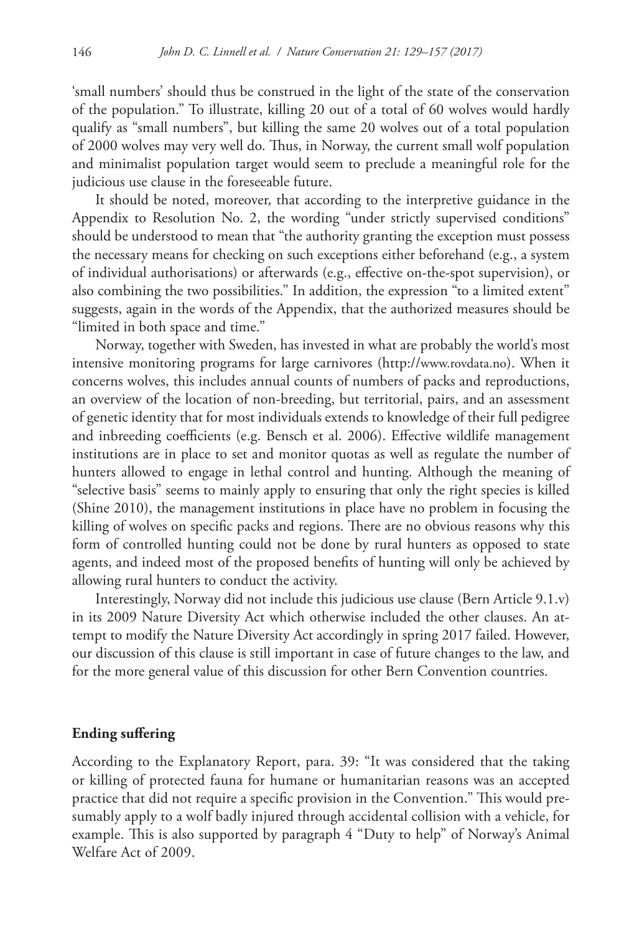'small numbers' should thus be construed in the light of the state of the conservation of the population." To illustrate, killing 20 out of a total of 60 wolves would hardly qualify as "small numbers", but killing the same 20 wolves out of a total population of 2000 wolves may very well do. Thus, in Norway, the current small wolf population and minimalist population target would seem to preclude a meaningful role for the judicious use clause in the foreseeable future.

It should be noted, moreover, that according to the interpretive guidance in the Appendix to Resolution No. 2, the wording "under strictly supervised conditions" should be understood to mean that "the authority granting the exception must possess the necessary means for checking on such exceptions either beforehand (e.g., a system of individual authorisations) or afterwards (e.g., effective on-the-spot supervision), or also combining the two possibilities." In addition, the expression "to a limited extent" suggests, again in the words of the Appendix, that the authorized measures should be "limited in both space and time."

Norway, together with Sweden, has invested in what are probably the world's most intensive monitoring programs for large carnivores (<http://www.rovdata.no>). When it concerns wolves, this includes annual counts of numbers of packs and reproductions, an overview of the location of non-breeding, but territorial, pairs, and an assessment of genetic identity that for most individuals extends to knowledge of their full pedigree and inbreeding coefficients (e.g. Bensch et al. 2006). Effective wildlife management institutions are in place to set and monitor quotas as well as regulate the number of hunters allowed to engage in lethal control and hunting. Although the meaning of "selective basis" seems to mainly apply to ensuring that only the right species is killed (Shine 2010), the management institutions in place have no problem in focusing the killing of wolves on specific packs and regions. There are no obvious reasons why this form of controlled hunting could not be done by rural hunters as opposed to state agents, and indeed most of the proposed benefits of hunting will only be achieved by allowing rural hunters to conduct the activity.

Interestingly, Norway did not include this judicious use clause (Bern Article 9.1.v) in its 2009 Nature Diversity Act which otherwise included the other clauses. An attempt to modify the Nature Diversity Act accordingly in spring 2017 failed. However, our discussion of this clause is still important in case of future changes to the law, and for the more general value of this discussion for other Bern Convention countries.

## **Ending suffering**

According to the Explanatory Report, para. 39: "It was considered that the taking or killing of protected fauna for humane or humanitarian reasons was an accepted practice that did not require a specific provision in the Convention." This would presumably apply to a wolf badly injured through accidental collision with a vehicle, for example. This is also supported by paragraph 4 "Duty to help" of Norway's Animal Welfare Act of 2009.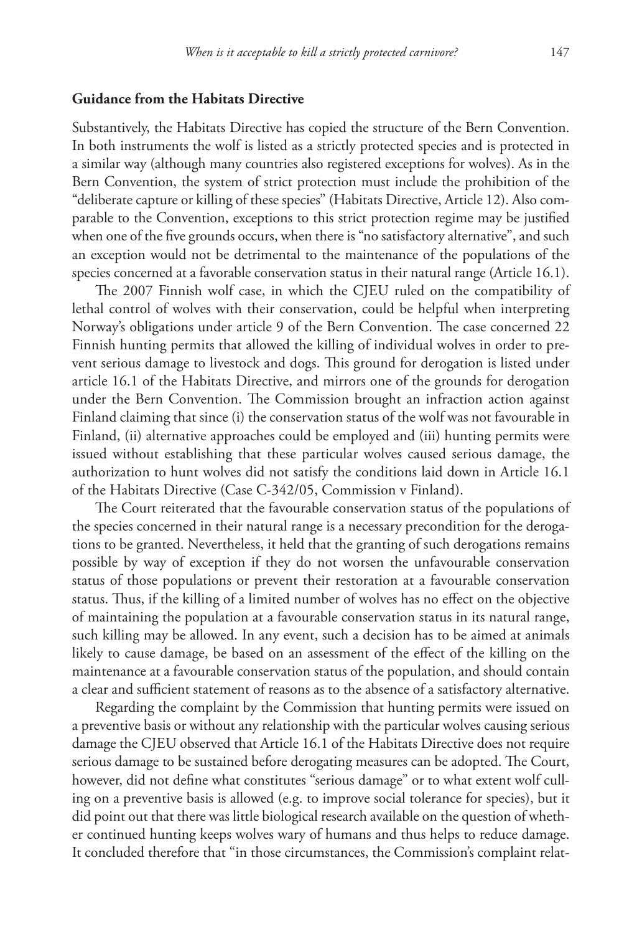## **Guidance from the Habitats Directive**

Substantively, the Habitats Directive has copied the structure of the Bern Convention. In both instruments the wolf is listed as a strictly protected species and is protected in a similar way (although many countries also registered exceptions for wolves). As in the Bern Convention, the system of strict protection must include the prohibition of the "deliberate capture or killing of these species" (Habitats Directive, Article 12). Also comparable to the Convention, exceptions to this strict protection regime may be justified when one of the five grounds occurs, when there is "no satisfactory alternative", and such an exception would not be detrimental to the maintenance of the populations of the species concerned at a favorable conservation status in their natural range (Article 16.1).

The 2007 Finnish wolf case, in which the CJEU ruled on the compatibility of lethal control of wolves with their conservation, could be helpful when interpreting Norway's obligations under article 9 of the Bern Convention. The case concerned 22 Finnish hunting permits that allowed the killing of individual wolves in order to prevent serious damage to livestock and dogs. This ground for derogation is listed under article 16.1 of the Habitats Directive, and mirrors one of the grounds for derogation under the Bern Convention. The Commission brought an infraction action against Finland claiming that since (i) the conservation status of the wolf was not favourable in Finland, (ii) alternative approaches could be employed and (iii) hunting permits were issued without establishing that these particular wolves caused serious damage, the authorization to hunt wolves did not satisfy the conditions laid down in Article 16.1 of the Habitats Directive (Case C-342/05, Commission v Finland).

The Court reiterated that the favourable conservation status of the populations of the species concerned in their natural range is a necessary precondition for the derogations to be granted. Nevertheless, it held that the granting of such derogations remains possible by way of exception if they do not worsen the unfavourable conservation status of those populations or prevent their restoration at a favourable conservation status. Thus, if the killing of a limited number of wolves has no effect on the objective of maintaining the population at a favourable conservation status in its natural range, such killing may be allowed. In any event, such a decision has to be aimed at animals likely to cause damage, be based on an assessment of the effect of the killing on the maintenance at a favourable conservation status of the population, and should contain a clear and sufficient statement of reasons as to the absence of a satisfactory alternative.

Regarding the complaint by the Commission that hunting permits were issued on a preventive basis or without any relationship with the particular wolves causing serious damage the CJEU observed that Article 16.1 of the Habitats Directive does not require serious damage to be sustained before derogating measures can be adopted. The Court, however, did not define what constitutes "serious damage" or to what extent wolf culling on a preventive basis is allowed (e.g. to improve social tolerance for species), but it did point out that there was little biological research available on the question of whether continued hunting keeps wolves wary of humans and thus helps to reduce damage. It concluded therefore that "in those circumstances, the Commission's complaint relat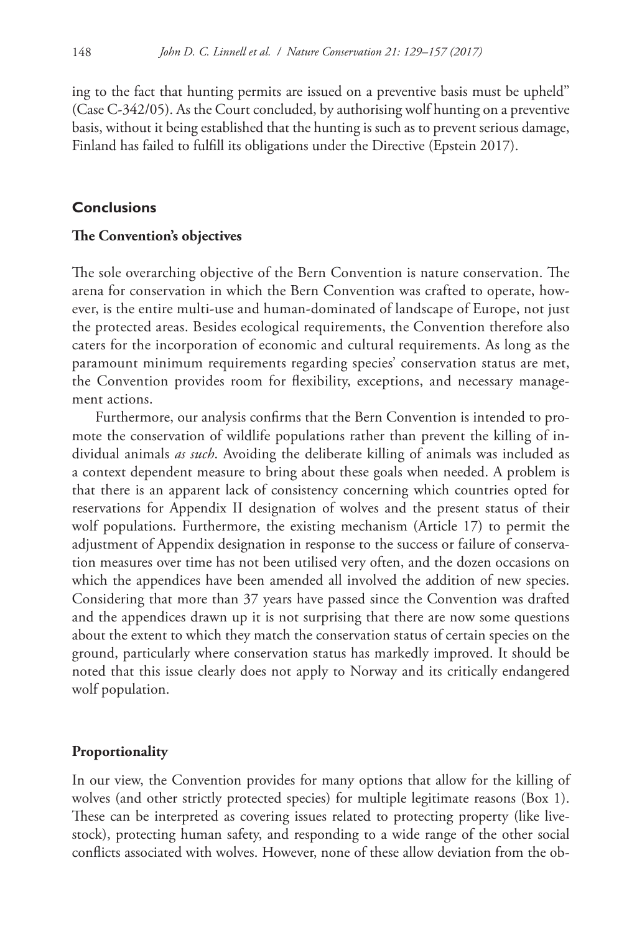ing to the fact that hunting permits are issued on a preventive basis must be upheld" (Case C-342/05). As the Court concluded, by authorising wolf hunting on a preventive basis, without it being established that the hunting is such as to prevent serious damage, Finland has failed to fulfill its obligations under the Directive (Epstein 2017).

#### **Conclusions**

#### **The Convention's objectives**

The sole overarching objective of the Bern Convention is nature conservation. The arena for conservation in which the Bern Convention was crafted to operate, however, is the entire multi-use and human-dominated of landscape of Europe, not just the protected areas. Besides ecological requirements, the Convention therefore also caters for the incorporation of economic and cultural requirements. As long as the paramount minimum requirements regarding species' conservation status are met, the Convention provides room for flexibility, exceptions, and necessary management actions.

Furthermore, our analysis confirms that the Bern Convention is intended to promote the conservation of wildlife populations rather than prevent the killing of individual animals *as such*. Avoiding the deliberate killing of animals was included as a context dependent measure to bring about these goals when needed. A problem is that there is an apparent lack of consistency concerning which countries opted for reservations for Appendix II designation of wolves and the present status of their wolf populations. Furthermore, the existing mechanism (Article 17) to permit the adjustment of Appendix designation in response to the success or failure of conservation measures over time has not been utilised very often, and the dozen occasions on which the appendices have been amended all involved the addition of new species. Considering that more than 37 years have passed since the Convention was drafted and the appendices drawn up it is not surprising that there are now some questions about the extent to which they match the conservation status of certain species on the ground, particularly where conservation status has markedly improved. It should be noted that this issue clearly does not apply to Norway and its critically endangered wolf population.

## **Proportionality**

In our view, the Convention provides for many options that allow for the killing of wolves (and other strictly protected species) for multiple legitimate reasons (Box 1). These can be interpreted as covering issues related to protecting property (like livestock), protecting human safety, and responding to a wide range of the other social conflicts associated with wolves. However, none of these allow deviation from the ob-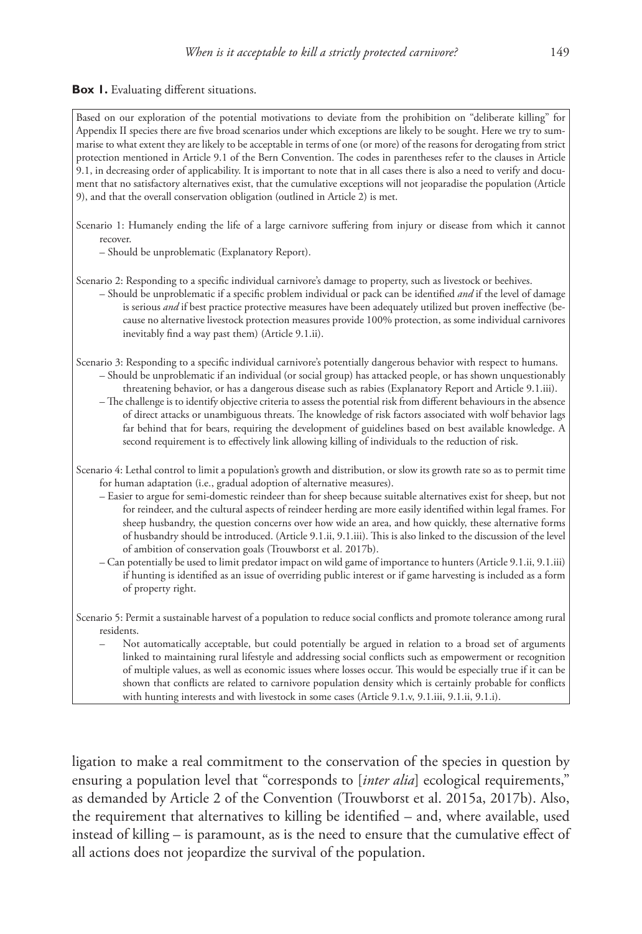#### **Box 1.** Evaluating different situations.

| Based on our exploration of the potential motivations to deviate from the prohibition on "deliberate killing" for<br>Appendix II species there are five broad scenarios under which exceptions are likely to be sought. Here we try to sum-<br>marise to what extent they are likely to be acceptable in terms of one (or more) of the reasons for derogating from strict<br>protection mentioned in Article 9.1 of the Bern Convention. The codes in parentheses refer to the clauses in Article<br>9.1, in decreasing order of applicability. It is important to note that in all cases there is also a need to verify and docu-<br>ment that no satisfactory alternatives exist, that the cumulative exceptions will not jeoparadise the population (Article<br>9), and that the overall conservation obligation (outlined in Article 2) is met.                                                                                                                                                    |
|--------------------------------------------------------------------------------------------------------------------------------------------------------------------------------------------------------------------------------------------------------------------------------------------------------------------------------------------------------------------------------------------------------------------------------------------------------------------------------------------------------------------------------------------------------------------------------------------------------------------------------------------------------------------------------------------------------------------------------------------------------------------------------------------------------------------------------------------------------------------------------------------------------------------------------------------------------------------------------------------------------|
| Scenario 1: Humanely ending the life of a large carnivore suffering from injury or disease from which it cannot<br>recover.<br>- Should be unproblematic (Explanatory Report).                                                                                                                                                                                                                                                                                                                                                                                                                                                                                                                                                                                                                                                                                                                                                                                                                         |
| Scenario 2: Responding to a specific individual carnivore's damage to property, such as livestock or beehives.<br>- Should be unproblematic if a specific problem individual or pack can be identified and if the level of damage<br>is serious and if best practice protective measures have been adequately utilized but proven ineffective (be-<br>cause no alternative livestock protection measures provide 100% protection, as some individual carnivores<br>inevitably find a way past them) (Article 9.1.ii).                                                                                                                                                                                                                                                                                                                                                                                                                                                                                  |
| Scenario 3: Responding to a specific individual carnivore's potentially dangerous behavior with respect to humans.<br>- Should be unproblematic if an individual (or social group) has attacked people, or has shown unquestionably<br>threatening behavior, or has a dangerous disease such as rabies (Explanatory Report and Article 9.1.iii).<br>- The challenge is to identify objective criteria to assess the potential risk from different behaviours in the absence<br>of direct attacks or unambiguous threats. The knowledge of risk factors associated with wolf behavior lags<br>far behind that for bears, requiring the development of guidelines based on best available knowledge. A<br>second requirement is to effectively link allowing killing of individuals to the reduction of risk.                                                                                                                                                                                            |
| Scenario 4: Lethal control to limit a population's growth and distribution, or slow its growth rate so as to permit time<br>for human adaptation (i.e., gradual adoption of alternative measures).<br>- Easier to argue for semi-domestic reindeer than for sheep because suitable alternatives exist for sheep, but not<br>for reindeer, and the cultural aspects of reindeer herding are more easily identified within legal frames. For<br>sheep husbandry, the question concerns over how wide an area, and how quickly, these alternative forms<br>of husbandry should be introduced. (Article 9.1.ii, 9.1.iii). This is also linked to the discussion of the level<br>of ambition of conservation goals (Trouwborst et al. 2017b).<br>- Can potentially be used to limit predator impact on wild game of importance to hunters (Article 9.1.ii, 9.1.iii)<br>if hunting is identified as an issue of overriding public interest or if game harvesting is included as a form<br>of property right. |
| Scenario 5: Permit a sustainable harvest of a population to reduce social conflicts and promote tolerance among rural<br>residents.<br>Not automatically acceptable, but could potentially be argued in relation to a broad set of arguments<br>linked to maintaining rural lifestyle and addressing social conflicts such as empowerment or recognition<br>of multiple values, as well as economic issues where losses occur. This would be especially true if it can be<br>shown that conflicts are related to carnivore population density which is certainly probable for conflicts                                                                                                                                                                                                                                                                                                                                                                                                                |

ligation to make a real commitment to the conservation of the species in question by ensuring a population level that "corresponds to [*inter alia*] ecological requirements," as demanded by Article 2 of the Convention (Trouwborst et al. 2015a, 2017b). Also, the requirement that alternatives to killing be identified – and, where available, used instead of killing – is paramount, as is the need to ensure that the cumulative effect of all actions does not jeopardize the survival of the population.

with hunting interests and with livestock in some cases (Article 9.1.v, 9.1.iii, 9.1.ii, 9.1.i).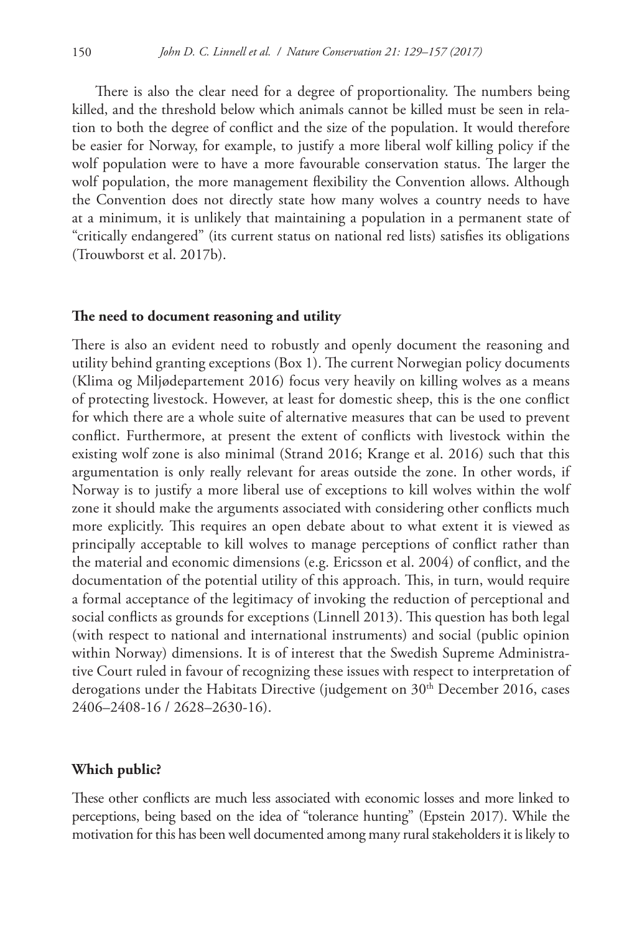There is also the clear need for a degree of proportionality. The numbers being killed, and the threshold below which animals cannot be killed must be seen in relation to both the degree of conflict and the size of the population. It would therefore be easier for Norway, for example, to justify a more liberal wolf killing policy if the wolf population were to have a more favourable conservation status. The larger the wolf population, the more management flexibility the Convention allows. Although the Convention does not directly state how many wolves a country needs to have at a minimum, it is unlikely that maintaining a population in a permanent state of "critically endangered" (its current status on national red lists) satisfies its obligations (Trouwborst et al. 2017b).

#### **The need to document reasoning and utility**

There is also an evident need to robustly and openly document the reasoning and utility behind granting exceptions (Box 1). The current Norwegian policy documents (Klima og Miljødepartement 2016) focus very heavily on killing wolves as a means of protecting livestock. However, at least for domestic sheep, this is the one conflict for which there are a whole suite of alternative measures that can be used to prevent conflict. Furthermore, at present the extent of conflicts with livestock within the existing wolf zone is also minimal (Strand 2016; Krange et al. 2016) such that this argumentation is only really relevant for areas outside the zone. In other words, if Norway is to justify a more liberal use of exceptions to kill wolves within the wolf zone it should make the arguments associated with considering other conflicts much more explicitly. This requires an open debate about to what extent it is viewed as principally acceptable to kill wolves to manage perceptions of conflict rather than the material and economic dimensions (e.g. Ericsson et al. 2004) of conflict, and the documentation of the potential utility of this approach. This, in turn, would require a formal acceptance of the legitimacy of invoking the reduction of perceptional and social conflicts as grounds for exceptions (Linnell 2013). This question has both legal (with respect to national and international instruments) and social (public opinion within Norway) dimensions. It is of interest that the Swedish Supreme Administrative Court ruled in favour of recognizing these issues with respect to interpretation of derogations under the Habitats Directive (judgement on  $30<sup>th</sup>$  December 2016, cases 2406–2408-16 / 2628–2630-16).

#### **Which public?**

These other conflicts are much less associated with economic losses and more linked to perceptions, being based on the idea of "tolerance hunting" (Epstein 2017). While the motivation for this has been well documented among many rural stakeholders it is likely to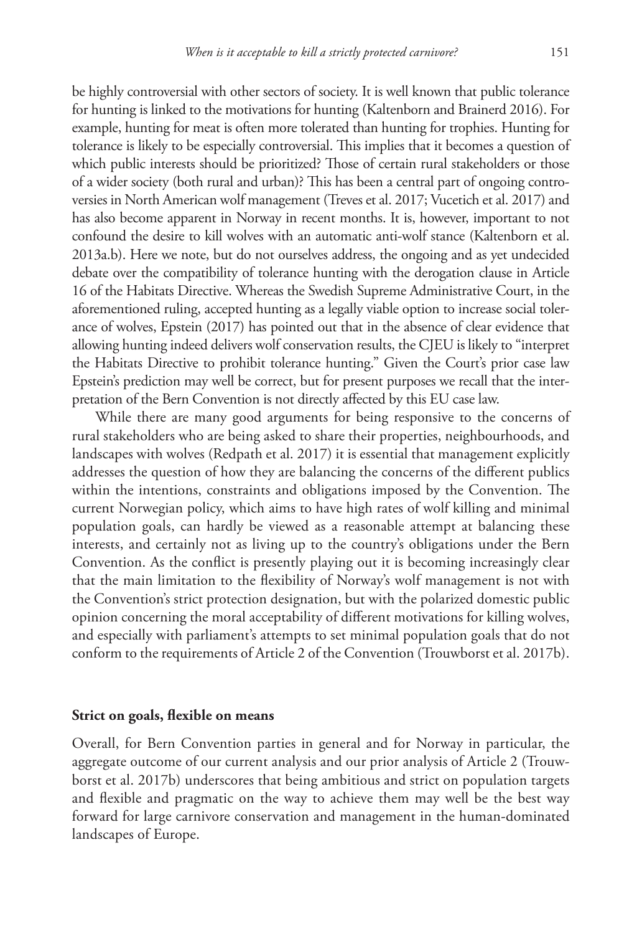be highly controversial with other sectors of society. It is well known that public tolerance for hunting is linked to the motivations for hunting (Kaltenborn and Brainerd 2016). For example, hunting for meat is often more tolerated than hunting for trophies. Hunting for tolerance is likely to be especially controversial. This implies that it becomes a question of which public interests should be prioritized? Those of certain rural stakeholders or those of a wider society (both rural and urban)? This has been a central part of ongoing controversies in North American wolf management (Treves et al. 2017; Vucetich et al. 2017) and has also become apparent in Norway in recent months. It is, however, important to not confound the desire to kill wolves with an automatic anti-wolf stance (Kaltenborn et al. 2013a.b). Here we note, but do not ourselves address, the ongoing and as yet undecided debate over the compatibility of tolerance hunting with the derogation clause in Article 16 of the Habitats Directive. Whereas the Swedish Supreme Administrative Court, in the aforementioned ruling, accepted hunting as a legally viable option to increase social tolerance of wolves, Epstein (2017) has pointed out that in the absence of clear evidence that allowing hunting indeed delivers wolf conservation results, the CJEU is likely to "interpret the Habitats Directive to prohibit tolerance hunting." Given the Court's prior case law Epstein's prediction may well be correct, but for present purposes we recall that the interpretation of the Bern Convention is not directly affected by this EU case law.

While there are many good arguments for being responsive to the concerns of rural stakeholders who are being asked to share their properties, neighbourhoods, and landscapes with wolves (Redpath et al. 2017) it is essential that management explicitly addresses the question of how they are balancing the concerns of the different publics within the intentions, constraints and obligations imposed by the Convention. The current Norwegian policy, which aims to have high rates of wolf killing and minimal population goals, can hardly be viewed as a reasonable attempt at balancing these interests, and certainly not as living up to the country's obligations under the Bern Convention. As the conflict is presently playing out it is becoming increasingly clear that the main limitation to the flexibility of Norway's wolf management is not with the Convention's strict protection designation, but with the polarized domestic public opinion concerning the moral acceptability of different motivations for killing wolves, and especially with parliament's attempts to set minimal population goals that do not conform to the requirements of Article 2 of the Convention (Trouwborst et al. 2017b).

#### **Strict on goals, flexible on means**

Overall, for Bern Convention parties in general and for Norway in particular, the aggregate outcome of our current analysis and our prior analysis of Article 2 (Trouwborst et al. 2017b) underscores that being ambitious and strict on population targets and flexible and pragmatic on the way to achieve them may well be the best way forward for large carnivore conservation and management in the human-dominated landscapes of Europe.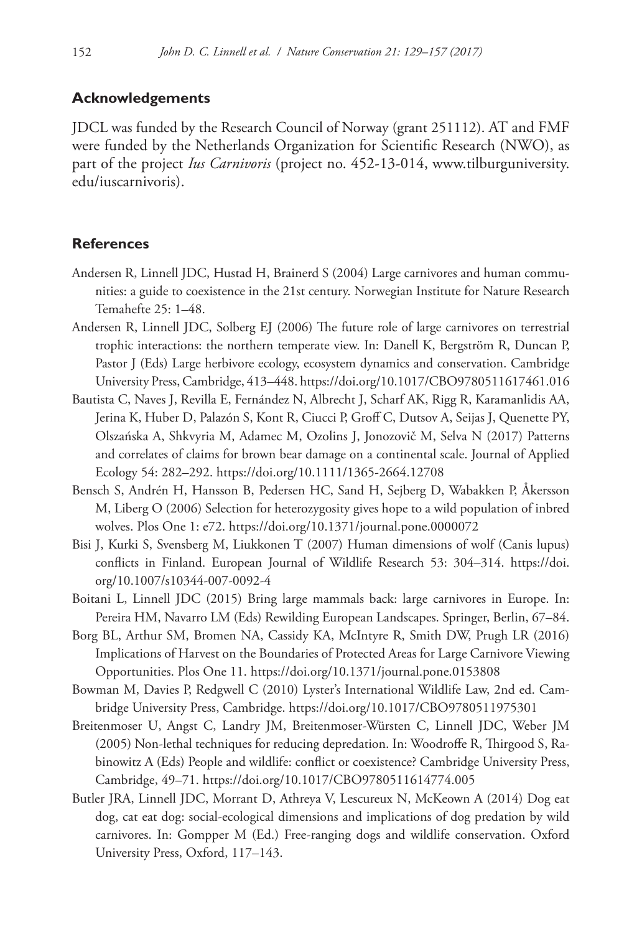## **Acknowledgements**

JDCL was funded by the Research Council of Norway (grant 251112). AT and FMF were funded by the Netherlands Organization for Scientific Research (NWO), as part of the project *Ius Carnivoris* (project no. 452-13-014, [www.tilburguniversity.](http://www.tilburguniversity.edu/iuscarnivoris) [edu/iuscarnivoris](http://www.tilburguniversity.edu/iuscarnivoris)).

## **References**

- Andersen R, Linnell JDC, Hustad H, Brainerd S (2004) Large carnivores and human communities: a guide to coexistence in the 21st century. Norwegian Institute for Nature Research Temahefte 25: 1–48.
- Andersen R, Linnell JDC, Solberg EJ (2006) The future role of large carnivores on terrestrial trophic interactions: the northern temperate view. In: Danell K, Bergström R, Duncan P, Pastor J (Eds) Large herbivore ecology, ecosystem dynamics and conservation. Cambridge University Press, Cambridge, 413–448.<https://doi.org/10.1017/CBO9780511617461.016>
- Bautista C, Naves J, Revilla E, Fernández N, Albrecht J, Scharf AK, Rigg R, Karamanlidis AA, Jerina K, Huber D, Palazón S, Kont R, Ciucci P, Groff C, Dutsov A, Seijas J, Quenette PY, Olszańska A, Shkvyria M, Adamec M, Ozolins J, Jonozovič M, Selva N (2017) Patterns and correlates of claims for brown bear damage on a continental scale. Journal of Applied Ecology 54: 282–292. <https://doi.org/10.1111/1365-2664.12708>
- Bensch S, Andrén H, Hansson B, Pedersen HC, Sand H, Sejberg D, Wabakken P, Åkersson M, Liberg O (2006) Selection for heterozygosity gives hope to a wild population of inbred wolves. Plos One 1: e72. <https://doi.org/10.1371/journal.pone.0000072>
- Bisi J, Kurki S, Svensberg M, Liukkonen T (2007) Human dimensions of wolf (Canis lupus) conflicts in Finland. European Journal of Wildlife Research 53: 304–314. [https://doi.](https://doi.org/10.1007/s10344-007-0092-4) [org/10.1007/s10344-007-0092-4](https://doi.org/10.1007/s10344-007-0092-4)
- Boitani L, Linnell JDC (2015) Bring large mammals back: large carnivores in Europe. In: Pereira HM, Navarro LM (Eds) Rewilding European Landscapes. Springer, Berlin, 67–84.
- Borg BL, Arthur SM, Bromen NA, Cassidy KA, McIntyre R, Smith DW, Prugh LR (2016) Implications of Harvest on the Boundaries of Protected Areas for Large Carnivore Viewing Opportunities. Plos One 11. <https://doi.org/10.1371/journal.pone.0153808>
- Bowman M, Davies P, Redgwell C (2010) Lyster's International Wildlife Law, 2nd ed. Cambridge University Press, Cambridge. <https://doi.org/10.1017/CBO9780511975301>
- Breitenmoser U, Angst C, Landry JM, Breitenmoser-Würsten C, Linnell JDC, Weber JM (2005) Non-lethal techniques for reducing depredation. In: Woodroffe R, Thirgood S, Rabinowitz A (Eds) People and wildlife: conflict or coexistence? Cambridge University Press, Cambridge, 49–71. <https://doi.org/10.1017/CBO9780511614774.005>
- Butler JRA, Linnell JDC, Morrant D, Athreya V, Lescureux N, McKeown A (2014) Dog eat dog, cat eat dog: social-ecological dimensions and implications of dog predation by wild carnivores. In: Gompper M (Ed.) Free-ranging dogs and wildlife conservation. Oxford University Press, Oxford, 117–143.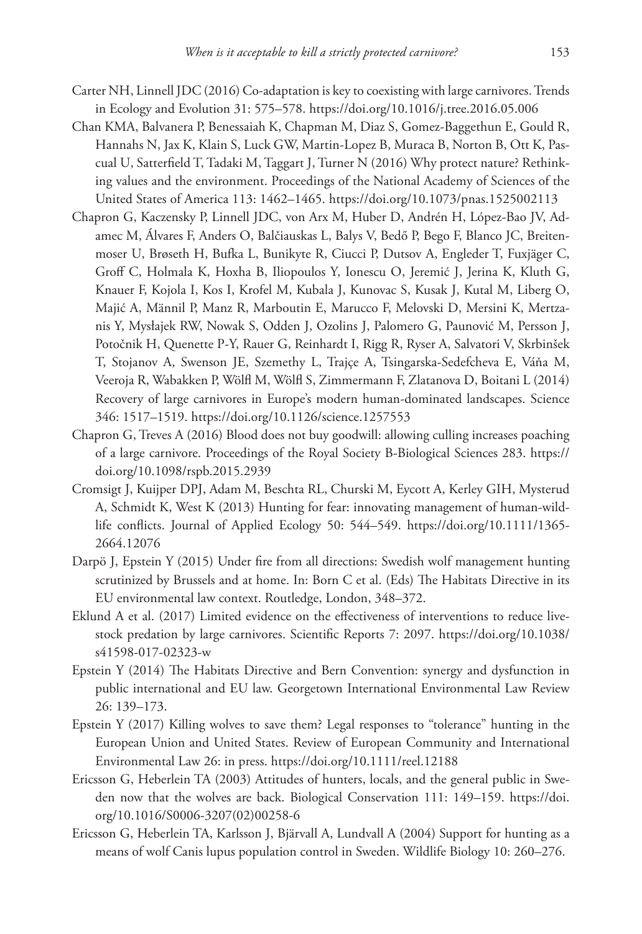- Carter NH, Linnell JDC (2016) Co-adaptation is key to coexisting with large carnivores. Trends in Ecology and Evolution 31: 575–578.<https://doi.org/10.1016/j.tree.2016.05.006>
- Chan KMA, Balvanera P, Benessaiah K, Chapman M, Diaz S, Gomez-Baggethun E, Gould R, Hannahs N, Jax K, Klain S, Luck GW, Martin-Lopez B, Muraca B, Norton B, Ott K, Pascual U, Satterfield T, Tadaki M, Taggart J, Turner N (2016) Why protect nature? Rethinking values and the environment. Proceedings of the National Academy of Sciences of the United States of America 113: 1462–1465. <https://doi.org/10.1073/pnas.1525002113>
- Chapron G, Kaczensky P, Linnell JDC, von Arx M, Huber D, Andrén H, López-Bao JV, Adamec M, Álvares F, Anders O, Balčiauskas L, Balys V, Bedő P, Bego F, Blanco JC, Breitenmoser U, Brøseth H, Bufka L, Bunikyte R, Ciucci P, Dutsov A, Engleder T, Fuxjäger C, Groff C, Holmala K, Hoxha B, Iliopoulos Y, Ionescu O, Jeremić J, Jerina K, Kluth G, Knauer F, Kojola I, Kos I, Krofel M, Kubala J, Kunovac S, Kusak J, Kutal M, Liberg O, Majić A, Männil P, Manz R, Marboutin E, Marucco F, Melovski D, Mersini K, Mertzanis Y, Mysłajek RW, Nowak S, Odden J, Ozolins J, Palomero G, Paunović M, Persson J, Potočnik H, Quenette P-Y, Rauer G, Reinhardt I, Rigg R, Ryser A, Salvatori V, Skrbinšek T, Stojanov A, Swenson JE, Szemethy L, Trajçe A, Tsingarska-Sedefcheva E, Váňa M, Veeroja R, Wabakken P, Wölfl M, Wölfl S, Zimmermann F, Zlatanova D, Boitani L (2014) Recovery of large carnivores in Europe's modern human-dominated landscapes. Science 346: 1517–1519.<https://doi.org/10.1126/science.1257553>
- Chapron G, Treves A (2016) Blood does not buy goodwill: allowing culling increases poaching of a large carnivore. Proceedings of the Royal Society B-Biological Sciences 283. [https://](https://doi.org/10.1098/rspb.2015.2939) [doi.org/10.1098/rspb.2015.2939](https://doi.org/10.1098/rspb.2015.2939)
- Cromsigt J, Kuijper DPJ, Adam M, Beschta RL, Churski M, Eycott A, Kerley GIH, Mysterud A, Schmidt K, West K (2013) Hunting for fear: innovating management of human-wildlife conflicts. Journal of Applied Ecology 50: 544–549. [https://doi.org/10.1111/1365-](https://doi.org/10.1111/1365-2664.12076) [2664.12076](https://doi.org/10.1111/1365-2664.12076)
- Darpö J, Epstein Y (2015) Under fire from all directions: Swedish wolf management hunting scrutinized by Brussels and at home. In: Born C et al. (Eds) The Habitats Directive in its EU environmental law context. Routledge, London, 348–372.
- Eklund A et al. (2017) Limited evidence on the effectiveness of interventions to reduce livestock predation by large carnivores. Scientific Reports 7: 2097. [https://doi.org/10.1038/](https://doi.org/10.1038/s41598-017-02323-w) [s41598-017-02323-w](https://doi.org/10.1038/s41598-017-02323-w)
- Epstein Y (2014) The Habitats Directive and Bern Convention: synergy and dysfunction in public international and EU law. Georgetown International Environmental Law Review 26: 139–173.
- Epstein Y (2017) Killing wolves to save them? Legal responses to "tolerance" hunting in the European Union and United States. Review of European Community and International Environmental Law 26: in press. <https://doi.org/10.1111/reel.12188>
- Ericsson G, Heberlein TA (2003) Attitudes of hunters, locals, and the general public in Sweden now that the wolves are back. Biological Conservation 111: 149–159. [https://doi.](https://doi.org/10.1016/S0006-3207(02)00258-6) [org/10.1016/S0006-3207\(02\)00258-6](https://doi.org/10.1016/S0006-3207(02)00258-6)
- Ericsson G, Heberlein TA, Karlsson J, Bjärvall A, Lundvall A (2004) Support for hunting as a means of wolf Canis lupus population control in Sweden. Wildlife Biology 10: 260–276.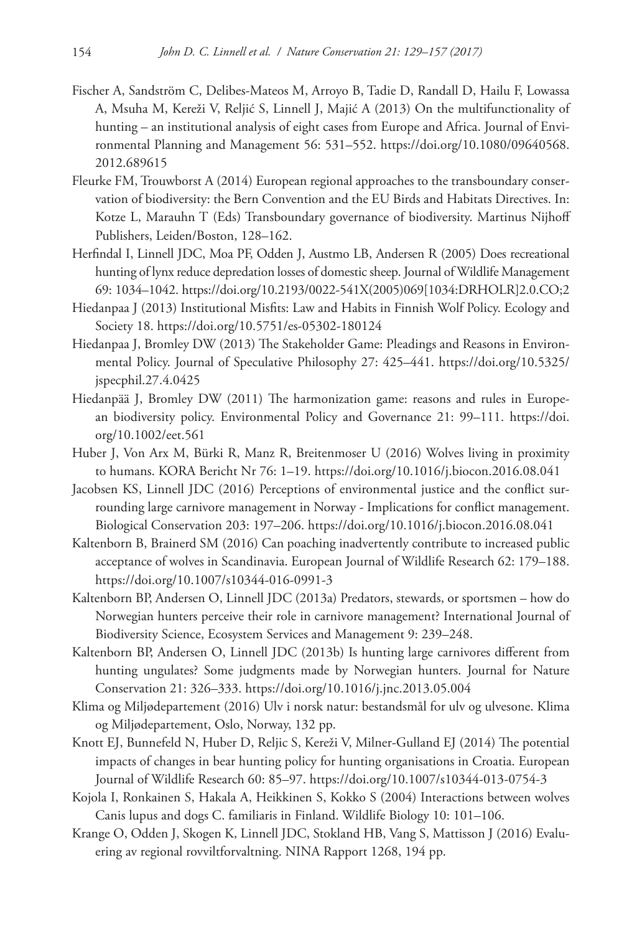- Fischer A, Sandström C, Delibes-Mateos M, Arroyo B, Tadie D, Randall D, Hailu F, Lowassa A, Msuha M, Kereži V, Reljić S, Linnell J, Majić A (2013) On the multifunctionality of hunting – an institutional analysis of eight cases from Europe and Africa. Journal of Environmental Planning and Management 56: 531–552. [https://doi.org/10.1080/09640568.](https://doi.org/10.1080/09640568.2012.689615) [2012.689615](https://doi.org/10.1080/09640568.2012.689615)
- Fleurke FM, Trouwborst A (2014) European regional approaches to the transboundary conservation of biodiversity: the Bern Convention and the EU Birds and Habitats Directives. In: Kotze L, Marauhn T (Eds) Transboundary governance of biodiversity. Martinus Nijhoff Publishers, Leiden/Boston, 128–162.
- Herfindal I, Linnell JDC, Moa PF, Odden J, Austmo LB, Andersen R (2005) Does recreational hunting of lynx reduce depredation losses of domestic sheep. Journal of Wildlife Management 69: 1034–1042. [https://doi.org/10.2193/0022-541X\(2005\)069\[1034:DRHOLR\]2.0.CO;2](https://doi.org/10.2193/0022-541X(2005)069%5B1034:DRHOLR%5D2.0.CO;2)
- Hiedanpaa J (2013) Institutional Misfits: Law and Habits in Finnish Wolf Policy. Ecology and Society 18. <https://doi.org/10.5751/es-05302-180124>
- Hiedanpaa J, Bromley DW (2013) The Stakeholder Game: Pleadings and Reasons in Environmental Policy. Journal of Speculative Philosophy 27: 425–441. [https://doi.org/10.5325/](https://doi.org/10.5325/jspecphil.27.4.0425) [jspecphil.27.4.0425](https://doi.org/10.5325/jspecphil.27.4.0425)
- Hiedanpää J, Bromley DW (2011) The harmonization game: reasons and rules in European biodiversity policy. Environmental Policy and Governance 21: 99–111. [https://doi.](https://doi.org/10.1002/eet.561) [org/10.1002/eet.561](https://doi.org/10.1002/eet.561)
- Huber J, Von Arx M, Bürki R, Manz R, Breitenmoser U (2016) Wolves living in proximity to humans. KORA Bericht Nr 76: 1–19.<https://doi.org/10.1016/j.biocon.2016.08.041>
- Jacobsen KS, Linnell JDC (2016) Perceptions of environmental justice and the conflict surrounding large carnivore management in Norway - Implications for conflict management. Biological Conservation 203: 197–206.<https://doi.org/10.1016/j.biocon.2016.08.041>
- Kaltenborn B, Brainerd SM (2016) Can poaching inadvertently contribute to increased public acceptance of wolves in Scandinavia. European Journal of Wildlife Research 62: 179–188. <https://doi.org/10.1007/s10344-016-0991-3>
- Kaltenborn BP, Andersen O, Linnell JDC (2013a) Predators, stewards, or sportsmen how do Norwegian hunters perceive their role in carnivore management? International Journal of Biodiversity Science, Ecosystem Services and Management 9: 239–248.
- Kaltenborn BP, Andersen O, Linnell JDC (2013b) Is hunting large carnivores different from hunting ungulates? Some judgments made by Norwegian hunters. Journal for Nature Conservation 21: 326–333. <https://doi.org/10.1016/j.jnc.2013.05.004>
- Klima og Miljødepartement (2016) Ulv i norsk natur: bestandsmål for ulv og ulvesone. Klima og Miljødepartement, Oslo, Norway, 132 pp.
- Knott EJ, Bunnefeld N, Huber D, Reljic S, Kereži V, Milner-Gulland EJ (2014) The potential impacts of changes in bear hunting policy for hunting organisations in Croatia. European Journal of Wildlife Research 60: 85–97. <https://doi.org/10.1007/s10344-013-0754-3>
- Kojola I, Ronkainen S, Hakala A, Heikkinen S, Kokko S (2004) Interactions between wolves Canis lupus and dogs C. familiaris in Finland. Wildlife Biology 10: 101–106.
- Krange O, Odden J, Skogen K, Linnell JDC, Stokland HB, Vang S, Mattisson J (2016) Evaluering av regional rovviltforvaltning. NINA Rapport 1268, 194 pp.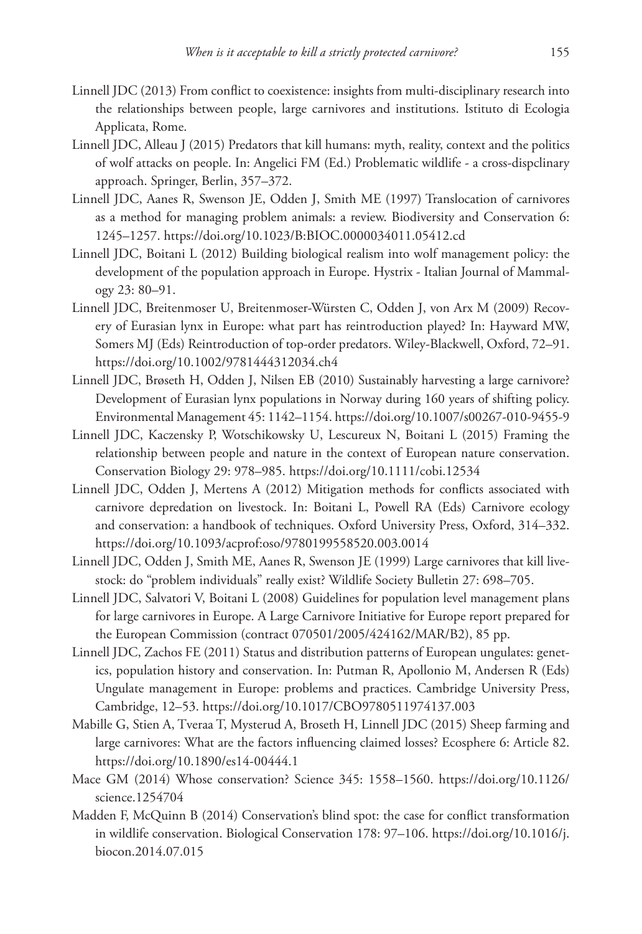- Linnell JDC (2013) From conflict to coexistence: insights from multi-disciplinary research into the relationships between people, large carnivores and institutions. Istituto di Ecologia Applicata, Rome.
- Linnell JDC, Alleau J (2015) Predators that kill humans: myth, reality, context and the politics of wolf attacks on people. In: Angelici FM (Ed.) Problematic wildlife - a cross-dispclinary approach. Springer, Berlin, 357–372.
- Linnell JDC, Aanes R, Swenson JE, Odden J, Smith ME (1997) Translocation of carnivores as a method for managing problem animals: a review. Biodiversity and Conservation 6: 1245–1257.<https://doi.org/10.1023/B:BIOC.0000034011.05412.cd>
- Linnell JDC, Boitani L (2012) Building biological realism into wolf management policy: the development of the population approach in Europe. Hystrix - Italian Journal of Mammalogy 23: 80–91.
- Linnell JDC, Breitenmoser U, Breitenmoser-Würsten C, Odden J, von Arx M (2009) Recovery of Eurasian lynx in Europe: what part has reintroduction played? In: Hayward MW, Somers MJ (Eds) Reintroduction of top-order predators. Wiley-Blackwell, Oxford, 72–91. <https://doi.org/10.1002/9781444312034.ch4>
- Linnell JDC, Brøseth H, Odden J, Nilsen EB (2010) Sustainably harvesting a large carnivore? Development of Eurasian lynx populations in Norway during 160 years of shifting policy. Environmental Management 45: 1142–1154.<https://doi.org/10.1007/s00267-010-9455-9>
- Linnell JDC, Kaczensky P, Wotschikowsky U, Lescureux N, Boitani L (2015) Framing the relationship between people and nature in the context of European nature conservation. Conservation Biology 29: 978–985. <https://doi.org/10.1111/cobi.12534>
- Linnell JDC, Odden J, Mertens A (2012) Mitigation methods for conflicts associated with carnivore depredation on livestock. In: Boitani L, Powell RA (Eds) Carnivore ecology and conservation: a handbook of techniques. Oxford University Press, Oxford, 314–332. <https://doi.org/10.1093/acprof:oso/9780199558520.003.0014>
- Linnell JDC, Odden J, Smith ME, Aanes R, Swenson JE (1999) Large carnivores that kill livestock: do "problem individuals" really exist? Wildlife Society Bulletin 27: 698–705.
- Linnell JDC, Salvatori V, Boitani L (2008) Guidelines for population level management plans for large carnivores in Europe. A Large Carnivore Initiative for Europe report prepared for the European Commission (contract 070501/2005/424162/MAR/B2), 85 pp.
- Linnell JDC, Zachos FE (2011) Status and distribution patterns of European ungulates: genetics, population history and conservation. In: Putman R, Apollonio M, Andersen R (Eds) Ungulate management in Europe: problems and practices. Cambridge University Press, Cambridge, 12–53. <https://doi.org/10.1017/CBO9780511974137.003>
- Mabille G, Stien A, Tveraa T, Mysterud A, Broseth H, Linnell JDC (2015) Sheep farming and large carnivores: What are the factors influencing claimed losses? Ecosphere 6: Article 82. <https://doi.org/10.1890/es14-00444.1>
- Mace GM (2014) Whose conservation? Science 345: 1558–1560. [https://doi.org/10.1126/](https://doi.org/10.1126/science.1254704) [science.1254704](https://doi.org/10.1126/science.1254704)
- Madden F, McQuinn B (2014) Conservation's blind spot: the case for conflict transformation in wildlife conservation. Biological Conservation 178: 97–106. [https://doi.org/10.1016/j.](https://doi.org/10.1016/j.biocon.2014.07.015) [biocon.2014.07.015](https://doi.org/10.1016/j.biocon.2014.07.015)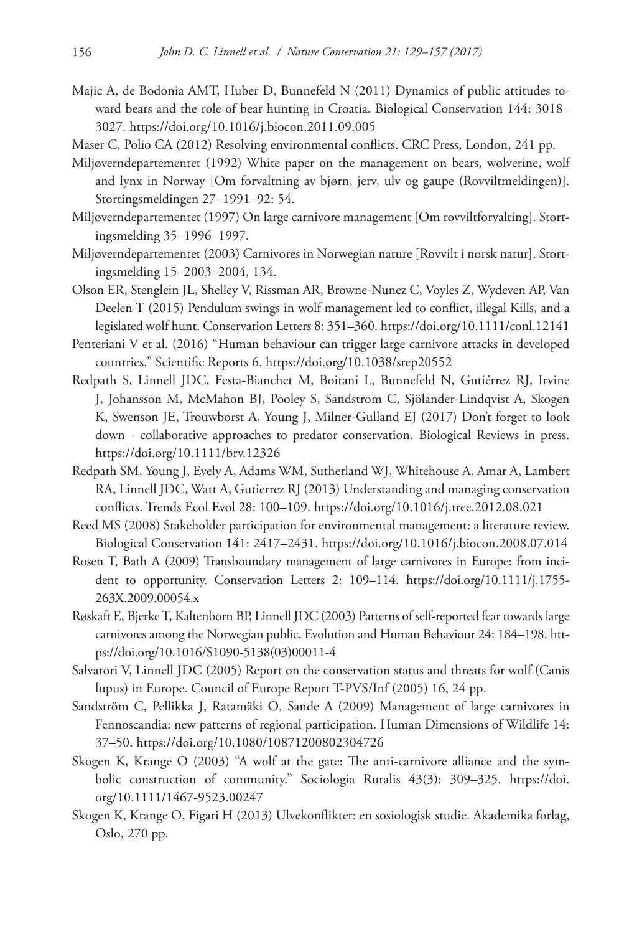- Majic A, de Bodonia AMT, Huber D, Bunnefeld N (2011) Dynamics of public attitudes toward bears and the role of bear hunting in Croatia. Biological Conservation 144: 3018– 3027.<https://doi.org/10.1016/j.biocon.2011.09.005>
- Maser C, Polio CA (2012) Resolving environmental conflicts. CRC Press, London, 241 pp.
- Miljøverndepartementet (1992) White paper on the management on bears, wolverine, wolf and lynx in Norway [Om forvaltning av bjørn, jerv, ulv og gaupe (Rovviltmeldingen)]. Stortingsmeldingen 27–1991–92: 54.
- Miljøverndepartementet (1997) On large carnivore management [Om rovviltforvalting]. Stortingsmelding 35–1996–1997.
- Miljøverndepartementet (2003) Carnivores in Norwegian nature [Rovvilt i norsk natur]. Stortingsmelding 15–2003–2004, 134.
- Olson ER, Stenglein JL, Shelley V, Rissman AR, Browne-Nunez C, Voyles Z, Wydeven AP, Van Deelen T (2015) Pendulum swings in wolf management led to conflict, illegal Kills, and a legislated wolf hunt. Conservation Letters 8: 351–360. <https://doi.org/10.1111/conl.12141>
- Penteriani V et al. (2016) "Human behaviour can trigger large carnivore attacks in developed countries." Scientific Reports 6. <https://doi.org/10.1038/srep20552>
- Redpath S, Linnell JDC, Festa-Bianchet M, Boitani L, Bunnefeld N, Gutiérrez RJ, Irvine J, Johansson M, McMahon BJ, Pooley S, Sandstrom C, Sjölander-Lindqvist A, Skogen K, Swenson JE, Trouwborst A, Young J, Milner-Gulland EJ (2017) Don't forget to look down - collaborative approaches to predator conservation. Biological Reviews in press. <https://doi.org/10.1111/brv.12326>
- Redpath SM, Young J, Evely A, Adams WM, Sutherland WJ, Whitehouse A, Amar A, Lambert RA, Linnell JDC, Watt A, Gutierrez RJ (2013) Understanding and managing conservation conflicts. Trends Ecol Evol 28: 100–109. <https://doi.org/10.1016/j.tree.2012.08.021>
- Reed MS (2008) Stakeholder participation for environmental management: a literature review. Biological Conservation 141: 2417–2431.<https://doi.org/10.1016/j.biocon.2008.07.014>
- Rosen T, Bath A (2009) Transboundary management of large carnivores in Europe: from incident to opportunity. Conservation Letters 2: 109–114. [https://doi.org/10.1111/j.1755-](https://doi.org/10.1111/j.1755-263X.2009.00054.x) [263X.2009.00054.x](https://doi.org/10.1111/j.1755-263X.2009.00054.x)
- Røskaft E, Bjerke T, Kaltenborn BP, Linnell JDC (2003) Patterns of self-reported fear towards large carnivores among the Norwegian public. Evolution and Human Behaviour 24: 184–198. [htt](https://doi.org/10.1016/S1090-5138(03)00011-4)[ps://doi.org/10.1016/S1090-5138\(03\)00011-4](https://doi.org/10.1016/S1090-5138(03)00011-4)
- Salvatori V, Linnell JDC (2005) Report on the conservation status and threats for wolf (Canis lupus) in Europe. Council of Europe Report T-PVS/Inf (2005) 16, 24 pp.
- Sandström C, Pellikka J, Ratamäki O, Sande A (2009) Management of large carnivores in Fennoscandia: new patterns of regional participation. Human Dimensions of Wildlife 14: 37–50.<https://doi.org/10.1080/10871200802304726>
- Skogen K, Krange O (2003) "A wolf at the gate: The anti-carnivore alliance and the symbolic construction of community." Sociologia Ruralis 43(3): 309–325. [https://doi.](https://doi.org/10.1111/1467-9523.00247) [org/10.1111/1467-9523.00247](https://doi.org/10.1111/1467-9523.00247)
- Skogen K, Krange O, Figari H (2013) Ulvekonflikter: en sosiologisk studie. Akademika forlag, Oslo, 270 pp.